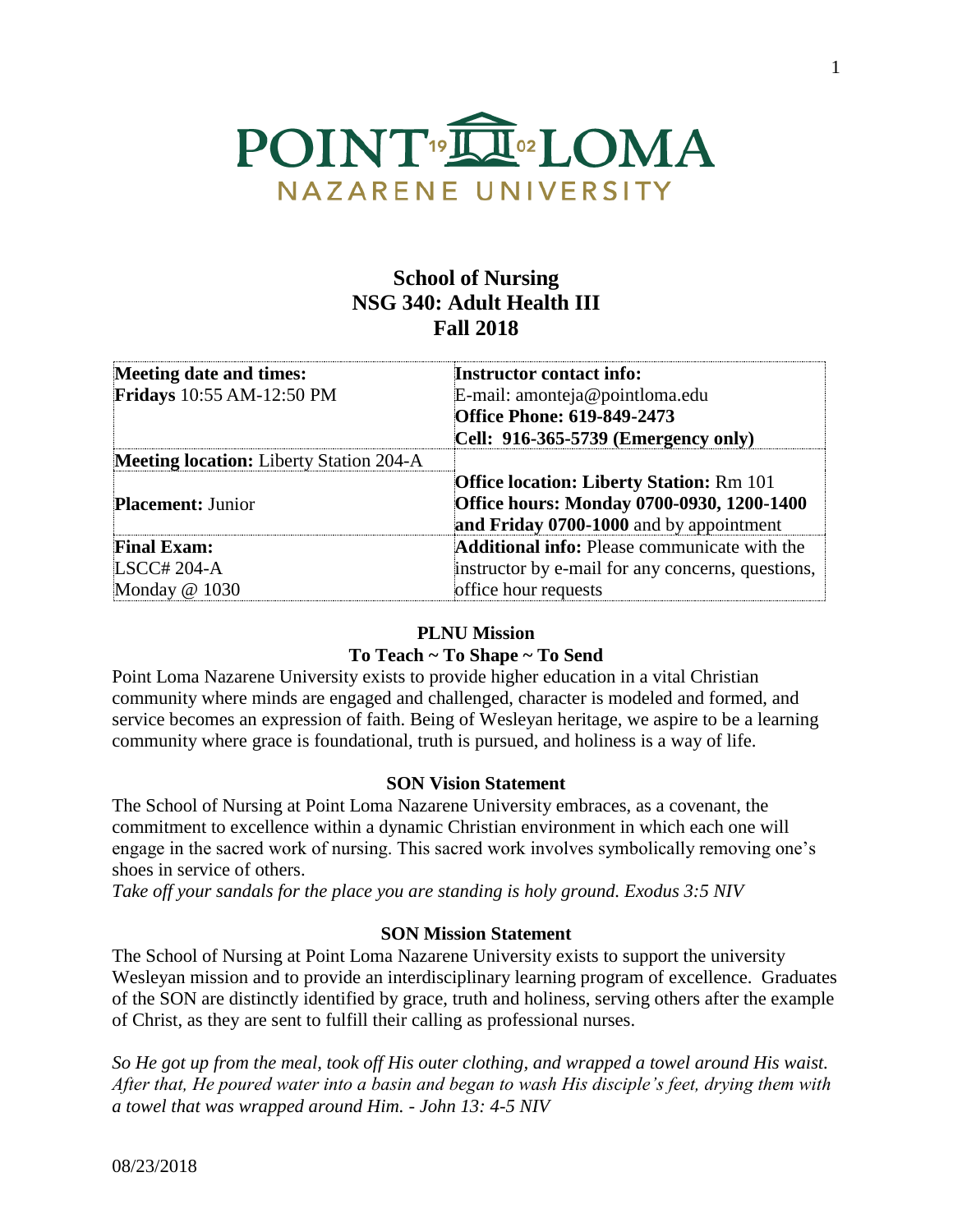

# **School of Nursing NSG 340: Adult Health III Fall 2018**

| Meeting date and times:                        | <b>Instructor contact info:</b>                     |  |  |
|------------------------------------------------|-----------------------------------------------------|--|--|
| Fridays 10:55 AM-12:50 PM                      | E-mail: amonteja@pointloma.edu                      |  |  |
|                                                | <b>Office Phone: 619-849-2473</b>                   |  |  |
|                                                | Cell: 916-365-5739 (Emergency only)                 |  |  |
| <b>Meeting location:</b> Liberty Station 204-A |                                                     |  |  |
|                                                | <b>Office location: Liberty Station: Rm 101</b>     |  |  |
| <b>Placement: Junior</b>                       | Office hours: Monday 0700-0930, 1200-1400           |  |  |
|                                                | and Friday 0700-1000 and by appointment             |  |  |
| <b>Final Exam:</b>                             | <b>Additional info:</b> Please communicate with the |  |  |
| LSCC# 204-A                                    | instructor by e-mail for any concerns, questions,   |  |  |
| Monday @ 1030                                  | office hour requests                                |  |  |

### **PLNU Mission**

# **To Teach ~ To Shape ~ To Send**

Point Loma Nazarene University exists to provide higher education in a vital Christian community where minds are engaged and challenged, character is modeled and formed, and service becomes an expression of faith. Being of Wesleyan heritage, we aspire to be a learning community where grace is foundational, truth is pursued, and holiness is a way of life.

### **SON Vision Statement**

The School of Nursing at Point Loma Nazarene University embraces, as a covenant, the commitment to excellence within a dynamic Christian environment in which each one will engage in the sacred work of nursing. This sacred work involves symbolically removing one's shoes in service of others.

*Take off your sandals for the place you are standing is holy ground. Exodus 3:5 NIV* 

### **SON Mission Statement**

The School of Nursing at Point Loma Nazarene University exists to support the university Wesleyan mission and to provide an interdisciplinary learning program of excellence. Graduates of the SON are distinctly identified by grace, truth and holiness, serving others after the example of Christ, as they are sent to fulfill their calling as professional nurses.

*So He got up from the meal, took off His outer clothing, and wrapped a towel around His waist. After that, He poured water into a basin and began to wash His disciple's feet, drying them with a towel that was wrapped around Him. - John 13: 4-5 NIV*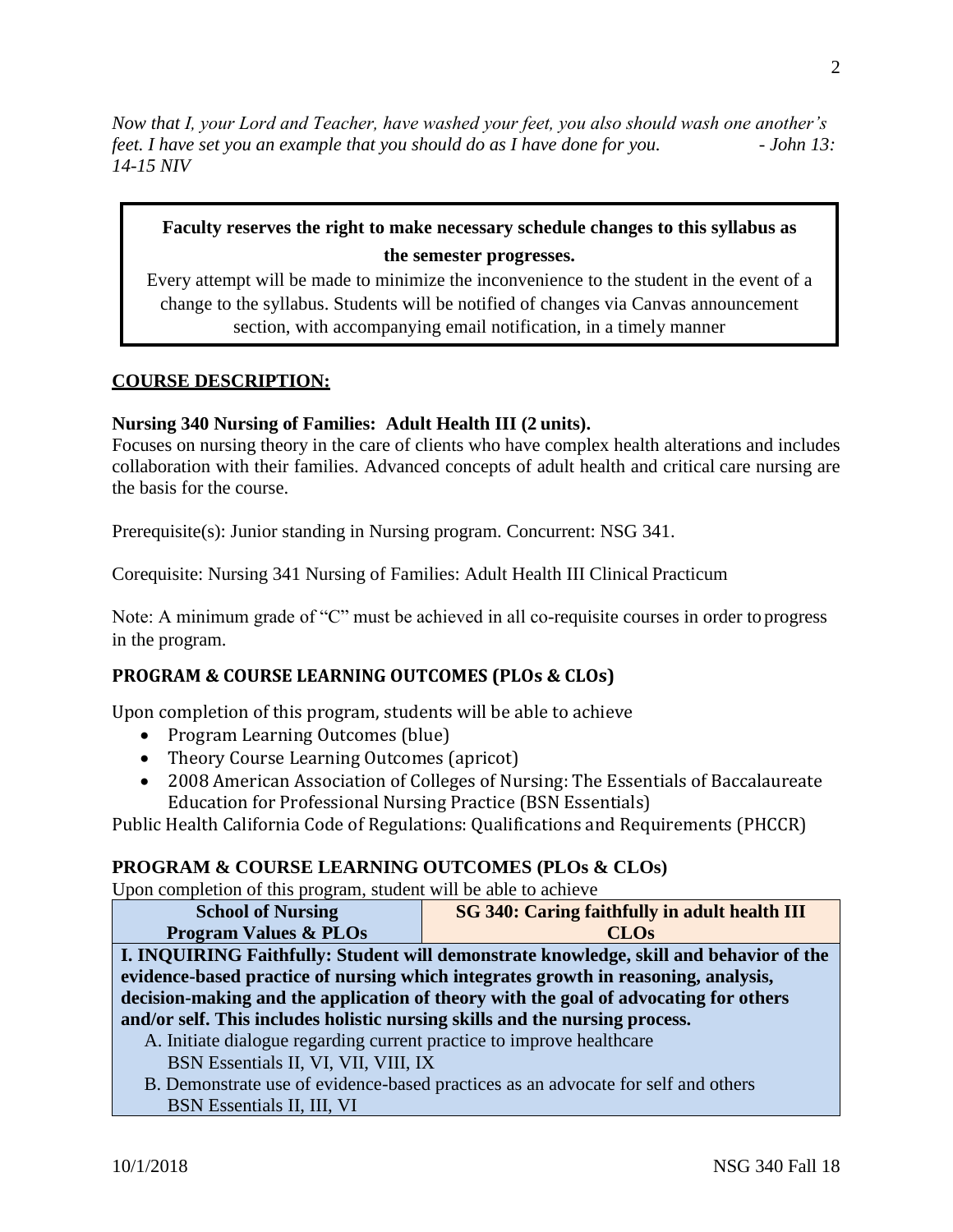*Now that I, your Lord and Teacher, have washed your feet, you also should wash one another's feet. I have set you an example that you should do as I have done for you.* - *John 13: 14-15 NIV* 

# **Faculty reserves the right to make necessary schedule changes to this syllabus as the semester progresses.**

Every attempt will be made to minimize the inconvenience to the student in the event of a change to the syllabus. Students will be notified of changes via Canvas announcement section, with accompanying email notification, in a timely manner

### **COURSE DESCRIPTION:**

### **Nursing 340 Nursing of Families: Adult Health III (2 units).**

Focuses on nursing theory in the care of clients who have complex health alterations and includes collaboration with their families. Advanced concepts of adult health and critical care nursing are the basis for the course.

Prerequisite(s): Junior standing in Nursing program. Concurrent: NSG 341.

Corequisite: Nursing 341 Nursing of Families: Adult Health III Clinical Practicum

Note: A minimum grade of "C" must be achieved in all co-requisite courses in order to progress in the program.

# **PROGRAM & COURSE LEARNING OUTCOMES (PLOs & CLOs)**

Upon completion of this program, students will be able to achieve

- Program Learning Outcomes (blue)
- Theory Course Learning Outcomes (apricot)
- 2008 American Association of Colleges of Nursing: The Essentials of Baccalaureate Education for Professional Nursing Practice (BSN Essentials)

Public Health California Code of Regulations: Qualifications and Requirements (PHCCR)

# **PROGRAM & COURSE LEARNING OUTCOMES (PLOs & CLOs)**

Upon completion of this program, student will be able to achieve

| SG 340: Caring faithfully in adult health III<br><b>School of Nursing</b>              |  |  |  |  |
|----------------------------------------------------------------------------------------|--|--|--|--|
| <b>Program Values &amp; PLOs</b><br><b>CLOs</b>                                        |  |  |  |  |
| I. INQUIRING Faithfully: Student will demonstrate knowledge, skill and behavior of the |  |  |  |  |
| evidence-based practice of nursing which integrates growth in reasoning, analysis,     |  |  |  |  |
| decision-making and the application of theory with the goal of advocating for others   |  |  |  |  |
| and/or self. This includes holistic nursing skills and the nursing process.            |  |  |  |  |
| A. Initiate dialogue regarding current practice to improve healthcare                  |  |  |  |  |

- BSN Essentials II, VI, VII, VIII, IX
- B. Demonstrate use of evidence-based practices as an advocate for self and others BSN Essentials II, III, VI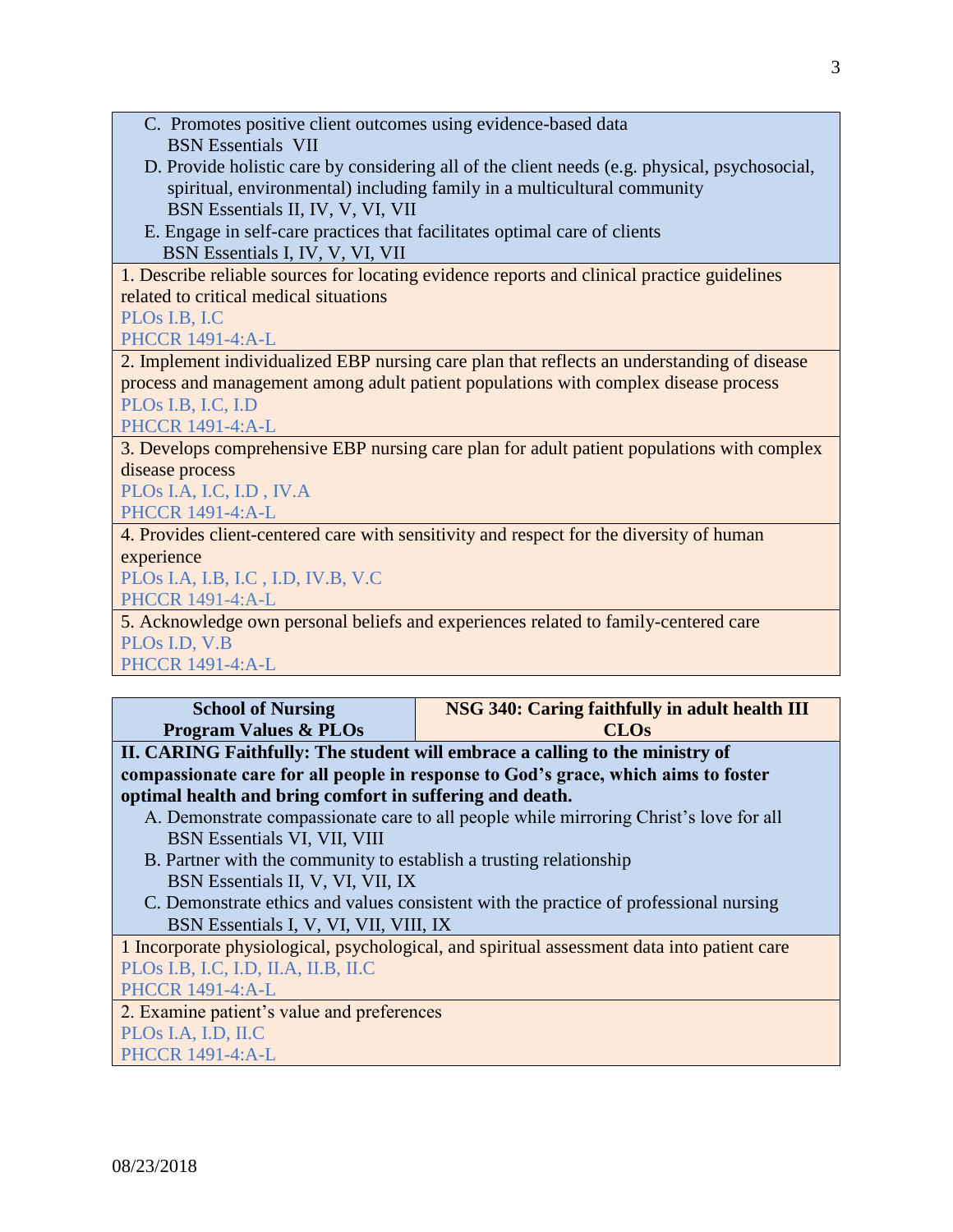- C. Promotes positive client outcomes using evidence-based data BSN Essentials VII
- D. Provide holistic care by considering all of the client needs (e.g. physical, psychosocial, spiritual, environmental) including family in a multicultural community BSN Essentials II, IV, V, VI, VII
- E. Engage in self-care practices that facilitates optimal care of clients BSN Essentials I, IV, V, VI, VII

1. Describe reliable sources for locating evidence reports and clinical practice guidelines related to critical medical situations

# PLOs I.B, I.C

PHCCR 1491-4:A-L

2. Implement individualized EBP nursing care plan that reflects an understanding of disease process and management among adult patient populations with complex disease process PLOs I.B, I.C, I.D

PHCCR 1491-4:A-L

3. Develops comprehensive EBP nursing care plan for adult patient populations with complex disease process

PLOs I.A, I.C, I.D , IV.A PHCCR 1491-4:A-L

4. Provides client-centered care with sensitivity and respect for the diversity of human experience

PLOs I.A, I.B, I.C , I.D, IV.B, V.C

PHCCR 1491-4:A-L

5. Acknowledge own personal beliefs and experiences related to family-centered care PLOs I.D, V.B

PHCCR 1491-4:A-L

| <b>School of Nursing</b>                                                                    | NSG 340: Caring faithfully in adult health III                               |  |  |
|---------------------------------------------------------------------------------------------|------------------------------------------------------------------------------|--|--|
| <b>Program Values &amp; PLOs</b>                                                            | <b>CLOs</b>                                                                  |  |  |
|                                                                                             | II. CARING Faithfully: The student will embrace a calling to the ministry of |  |  |
| compassionate care for all people in response to God's grace, which aims to foster          |                                                                              |  |  |
| optimal health and bring comfort in suffering and death.                                    |                                                                              |  |  |
| A. Demonstrate compassionate care to all people while mirroring Christ's love for all       |                                                                              |  |  |
| BSN Essentials VI, VII, VIII                                                                |                                                                              |  |  |
| B. Partner with the community to establish a trusting relationship                          |                                                                              |  |  |
| BSN Essentials II, V, VI, VII, IX                                                           |                                                                              |  |  |
| C. Demonstrate ethics and values consistent with the practice of professional nursing       |                                                                              |  |  |
| BSN Essentials I, V, VI, VII, VIII, IX                                                      |                                                                              |  |  |
| 1 Incorporate physiological, psychological, and spiritual assessment data into patient care |                                                                              |  |  |
| PLOs I.B, I.C, I.D, II.A, II.B, II.C                                                        |                                                                              |  |  |
| <b>PHCCR 1491-4:A-L</b>                                                                     |                                                                              |  |  |
| 2. Examine patient's value and preferences                                                  |                                                                              |  |  |
| PLO <sub>s</sub> I.A, I.D, II.C                                                             |                                                                              |  |  |
| <b>PHCCR 1491-4:A-L</b>                                                                     |                                                                              |  |  |
|                                                                                             |                                                                              |  |  |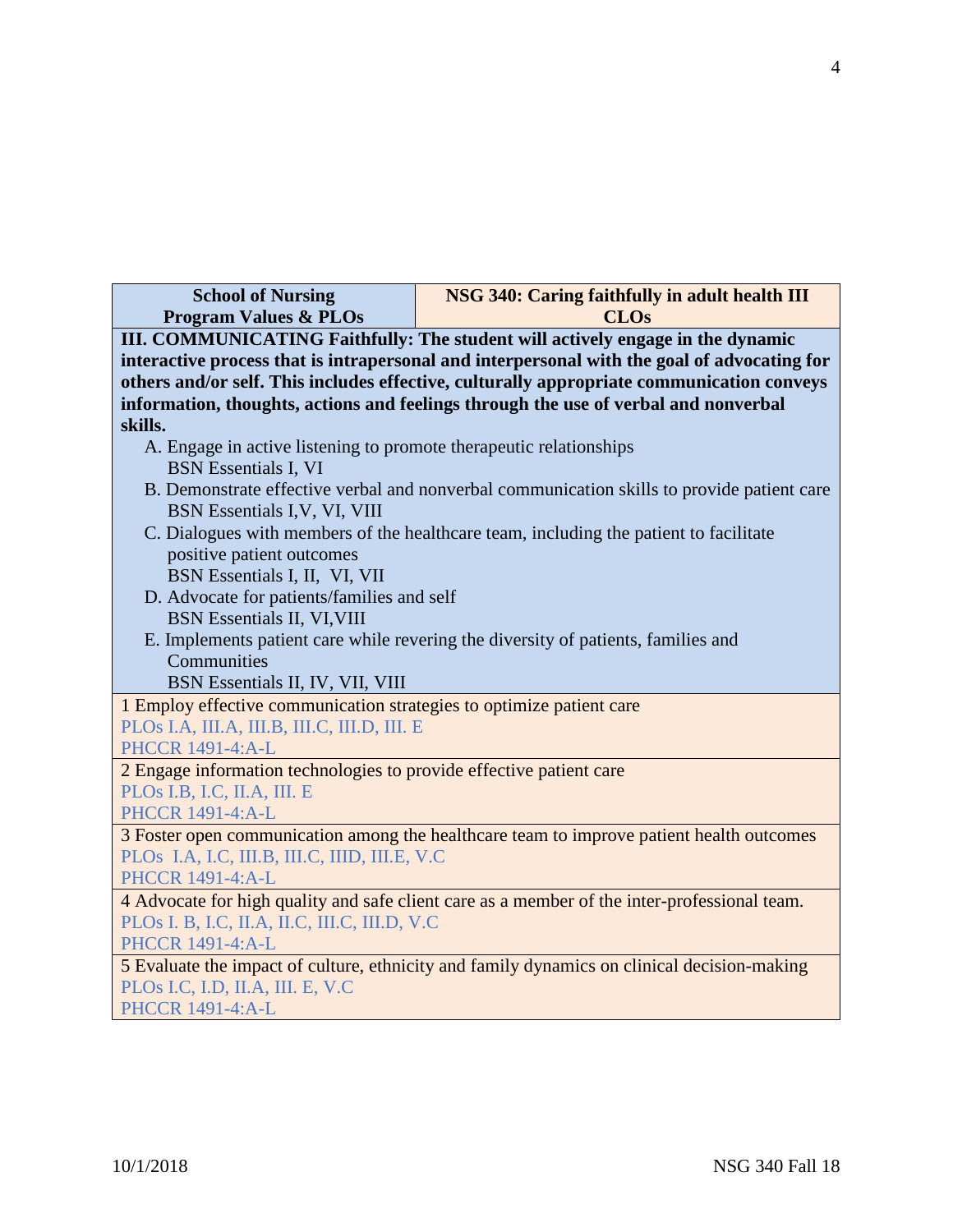| <b>School of Nursing</b>                                                                     | NSG 340: Caring faithfully in adult health III                                              |  |  |
|----------------------------------------------------------------------------------------------|---------------------------------------------------------------------------------------------|--|--|
| <b>Program Values &amp; PLOs</b><br><b>CLOs</b>                                              |                                                                                             |  |  |
| III. COMMUNICATING Faithfully: The student will actively engage in the dynamic               |                                                                                             |  |  |
|                                                                                              | interactive process that is intrapersonal and interpersonal with the goal of advocating for |  |  |
|                                                                                              | others and/or self. This includes effective, culturally appropriate communication conveys   |  |  |
| skills.                                                                                      | information, thoughts, actions and feelings through the use of verbal and nonverbal         |  |  |
| A. Engage in active listening to promote therapeutic relationships                           |                                                                                             |  |  |
| <b>BSN</b> Essentials I, VI                                                                  |                                                                                             |  |  |
|                                                                                              | B. Demonstrate effective verbal and nonverbal communication skills to provide patient care  |  |  |
| BSN Essentials I, V, VI, VIII                                                                |                                                                                             |  |  |
|                                                                                              | C. Dialogues with members of the healthcare team, including the patient to facilitate       |  |  |
| positive patient outcomes                                                                    |                                                                                             |  |  |
| BSN Essentials I, II, VI, VII                                                                |                                                                                             |  |  |
| D. Advocate for patients/families and self                                                   |                                                                                             |  |  |
| <b>BSN</b> Essentials II, VI, VIII                                                           |                                                                                             |  |  |
|                                                                                              | E. Implements patient care while revering the diversity of patients, families and           |  |  |
| Communities                                                                                  |                                                                                             |  |  |
| BSN Essentials II, IV, VII, VIII                                                             |                                                                                             |  |  |
| 1 Employ effective communication strategies to optimize patient care                         |                                                                                             |  |  |
| PLOS I.A, III.A, III.B, III.C, III.D, III. E<br><b>PHCCR 1491-4:A-L</b>                      |                                                                                             |  |  |
| 2 Engage information technologies to provide effective patient care                          |                                                                                             |  |  |
| PLOs I.B, I.C, II.A, III. E                                                                  |                                                                                             |  |  |
| <b>PHCCR 1491-4:A-L</b>                                                                      |                                                                                             |  |  |
| 3 Foster open communication among the healthcare team to improve patient health outcomes     |                                                                                             |  |  |
| PLOS I.A, I.C, III.B, III.C, IIID, III.E, V.C                                                |                                                                                             |  |  |
| <b>PHCCR 1491-4:A-L</b>                                                                      |                                                                                             |  |  |
| 4 Advocate for high quality and safe client care as a member of the inter-professional team. |                                                                                             |  |  |
| PLOs I. B, I.C, II.A, II.C, III.C, III.D, V.C                                                |                                                                                             |  |  |
| <b>PHCCR 1491-4:A-L</b>                                                                      |                                                                                             |  |  |
| 5 Evaluate the impact of culture, ethnicity and family dynamics on clinical decision-making  |                                                                                             |  |  |
| PLOs I.C, I.D, II.A, III. E, V.C                                                             |                                                                                             |  |  |
| <b>PHCCR 1491-4:A-L</b>                                                                      |                                                                                             |  |  |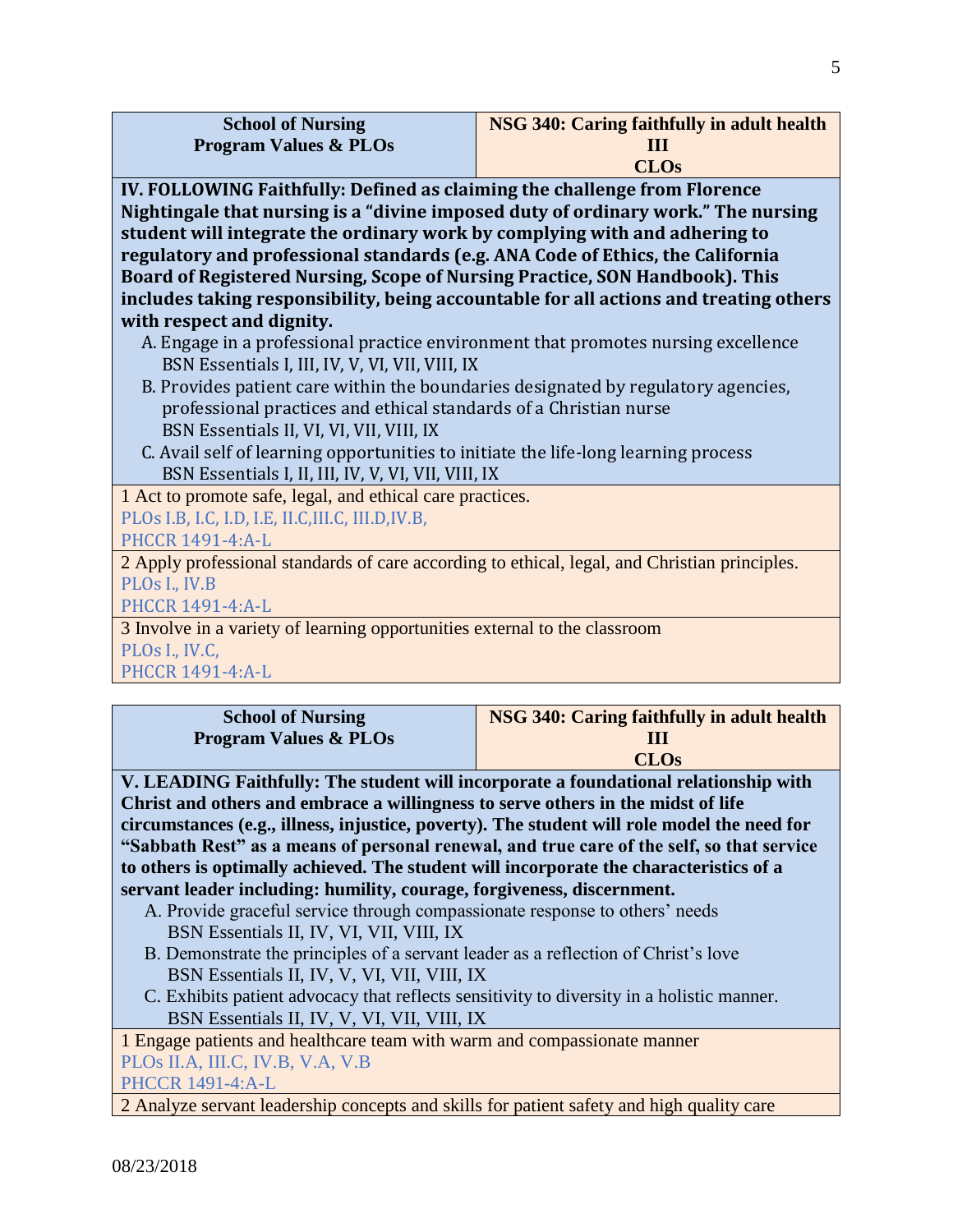| <b>School of Nursing</b>         | NSG 340: Caring faithfully in adult health |
|----------------------------------|--------------------------------------------|
| <b>Program Values &amp; PLOs</b> | I I I I                                    |
|                                  | <b>CLOs</b>                                |

**IV. FOLLOWING Faithfully: Defined as claiming the challenge from Florence Nightingale that nursing is a "divine imposed duty of ordinary work." The nursing student will integrate the ordinary work by complying with and adhering to regulatory and professional standards (e.g. ANA Code of Ethics, the California Board of Registered Nursing, Scope of Nursing Practice, SON Handbook). This includes taking responsibility, being accountable for all actions and treating others with respect and dignity.**

- A. Engage in a professional practice environment that promotes nursing excellence BSN Essentials I, III, IV, V, VI, VII, VIII, IX
- B. Provides patient care within the boundaries designated by regulatory agencies, professional practices and ethical standards of a Christian nurse BSN Essentials II, VI, VI, VII, VIII, IX
- C. Avail self of learning opportunities to initiate the life-long learning process BSN Essentials I, II, III, IV, V, VI, VII, VIII, IX

1 Act to promote safe, legal, and ethical care practices.

PLOs I.B, I.C, I.D, I.E, II.C,III.C, III.D,IV.B,

PHCCR 1491-4:A-L

2 Apply professional standards of care according to ethical, legal, and Christian principles. PLOs I., IV.B

PHCCR 1491-4:A-L

3 Involve in a variety of learning opportunities external to the classroom PLOs I., IV.C,

PHCCR 1491-4:A-L

| <b>School of Nursing</b>                                                                                                                                                                                                                                                                                                                          | NSG 340: Caring faithfully in adult health                                    |  |
|---------------------------------------------------------------------------------------------------------------------------------------------------------------------------------------------------------------------------------------------------------------------------------------------------------------------------------------------------|-------------------------------------------------------------------------------|--|
| <b>Program Values &amp; PLOs</b>                                                                                                                                                                                                                                                                                                                  |                                                                               |  |
|                                                                                                                                                                                                                                                                                                                                                   | <b>CLOs</b>                                                                   |  |
| $\mathbf{v}$ $\mathbf{v}$ $\mathbf{v}$ $\mathbf{v}$ $\mathbf{v}$ $\mathbf{v}$ $\mathbf{v}$ $\mathbf{v}$ $\mathbf{v}$ $\mathbf{v}$ $\mathbf{v}$ $\mathbf{v}$ $\mathbf{v}$ $\mathbf{v}$ $\mathbf{v}$ $\mathbf{v}$ $\mathbf{v}$ $\mathbf{v}$ $\mathbf{v}$ $\mathbf{v}$ $\mathbf{v}$ $\mathbf{v}$ $\mathbf{v}$ $\mathbf{v}$ $\mathbf{$<br><b>FILL</b> | $\mathbf{1}$ $\mathbf{1}$ $\mathbf{1}$ $\mathbf{1}$ $\mathbf{1}$ $\mathbf{1}$ |  |

**V. LEADING Faithfully: The student will incorporate a foundational relationship with Christ and others and embrace a willingness to serve others in the midst of life circumstances (e.g., illness, injustice, poverty). The student will role model the need for "Sabbath Rest" as a means of personal renewal, and true care of the self, so that service to others is optimally achieved. The student will incorporate the characteristics of a servant leader including: humility, courage, forgiveness, discernment.**

- A. Provide graceful service through compassionate response to others' needs BSN Essentials II, IV, VI, VII, VIII, IX
- B. Demonstrate the principles of a servant leader as a reflection of Christ's love BSN Essentials II, IV, V, VI, VII, VIII, IX
- C. Exhibits patient advocacy that reflects sensitivity to diversity in a holistic manner. BSN Essentials II, IV, V, VI, VII, VIII, IX

1 Engage patients and healthcare team with warm and compassionate manner PLOs II.A, III.C, IV.B, V.A, V.B

PHCCR 1491-4:A-L

2 Analyze servant leadership concepts and skills for patient safety and high quality care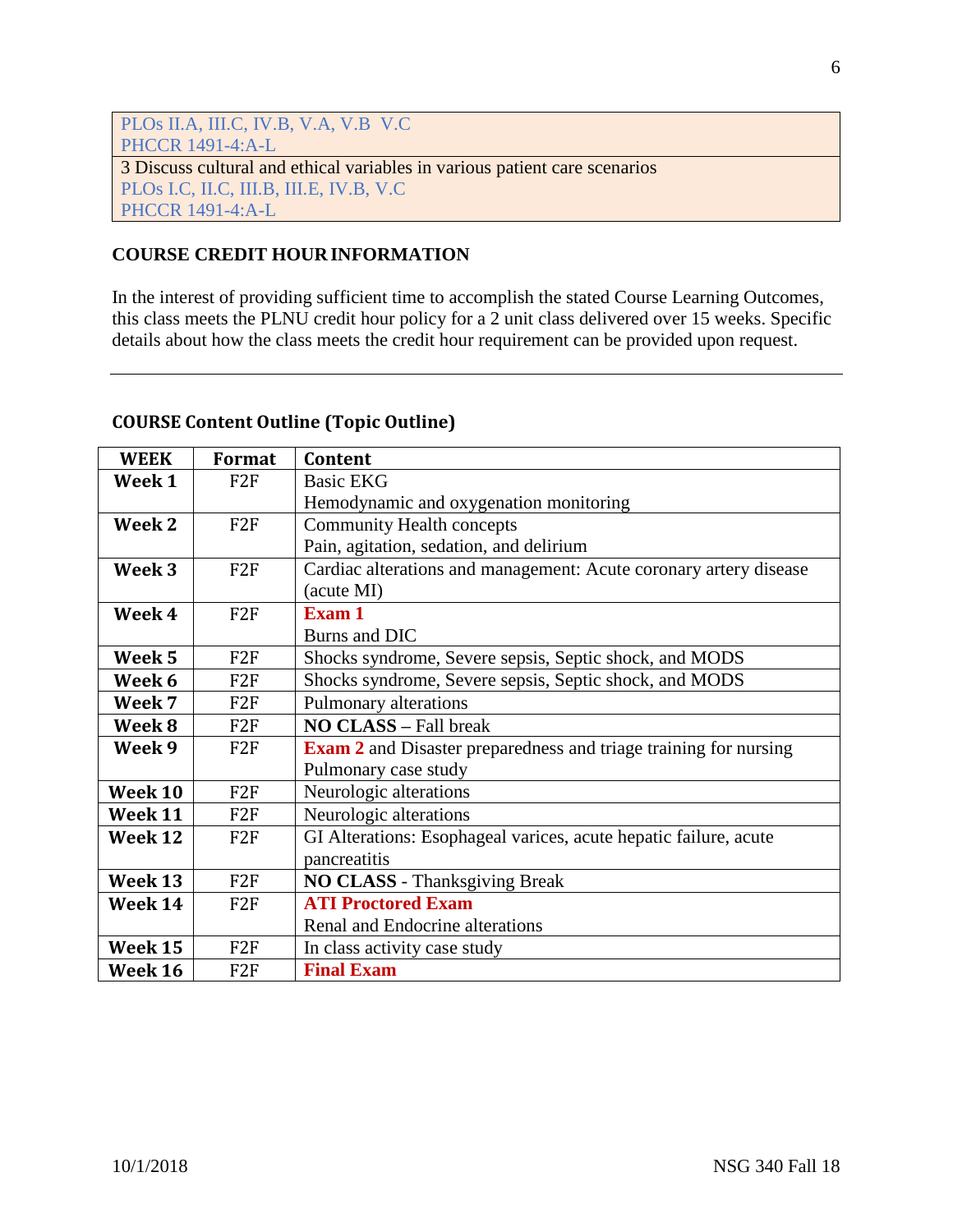| PLOs II.A, III.C, IV.B, V.A, V.B V.C                                       |  |  |
|----------------------------------------------------------------------------|--|--|
| <b>PHCCR 1491-4:A-L</b>                                                    |  |  |
| 3 Discuss cultural and ethical variables in various patient care scenarios |  |  |
| PLOs I.C, II.C, III.B, III.E, IV.B, V.C                                    |  |  |
| <b>PHCCR 1491-4:A-L</b>                                                    |  |  |

# **COURSE CREDIT HOUR INFORMATION**

In the interest of providing sufficient time to accomplish the stated Course Learning Outcomes, this class meets the PLNU credit hour policy for a 2 unit class delivered over 15 weeks. Specific details about how the class meets the credit hour requirement can be provided upon request.

# **COURSE Content Outline (Topic Outline)**

| <b>WEEK</b> | Format          | Content                                                                 |
|-------------|-----------------|-------------------------------------------------------------------------|
| Week 1      | F <sub>2F</sub> | <b>Basic EKG</b>                                                        |
|             |                 | Hemodynamic and oxygenation monitoring                                  |
| Week 2      | F2F             | <b>Community Health concepts</b>                                        |
|             |                 | Pain, agitation, sedation, and delirium                                 |
| Week 3      | F2F             | Cardiac alterations and management: Acute coronary artery disease       |
|             |                 | (acute MI)                                                              |
| Week 4      | F2F             | Exam 1                                                                  |
|             |                 | Burns and DIC                                                           |
| Week 5      | F <sub>2F</sub> | Shocks syndrome, Severe sepsis, Septic shock, and MODS                  |
| Week 6      | F <sub>2F</sub> | Shocks syndrome, Severe sepsis, Septic shock, and MODS                  |
| Week 7      | F <sub>2F</sub> | Pulmonary alterations                                                   |
| Week 8      | F <sub>2F</sub> | <b>NO CLASS - Fall break</b>                                            |
| Week 9      | F2F             | <b>Exam 2</b> and Disaster preparedness and triage training for nursing |
|             |                 | Pulmonary case study                                                    |
| Week 10     | F <sub>2F</sub> | Neurologic alterations                                                  |
| Week 11     | F <sub>2F</sub> | Neurologic alterations                                                  |
| Week 12     | F <sub>2F</sub> | GI Alterations: Esophageal varices, acute hepatic failure, acute        |
|             |                 | pancreatitis                                                            |
| Week 13     | F2F             | <b>NO CLASS</b> - Thanksgiving Break                                    |
| Week 14     | F2F             | <b>ATI Proctored Exam</b>                                               |
|             |                 | Renal and Endocrine alterations                                         |
| Week 15     | F <sub>2F</sub> | In class activity case study                                            |
| Week 16     | F <sub>2F</sub> | <b>Final Exam</b>                                                       |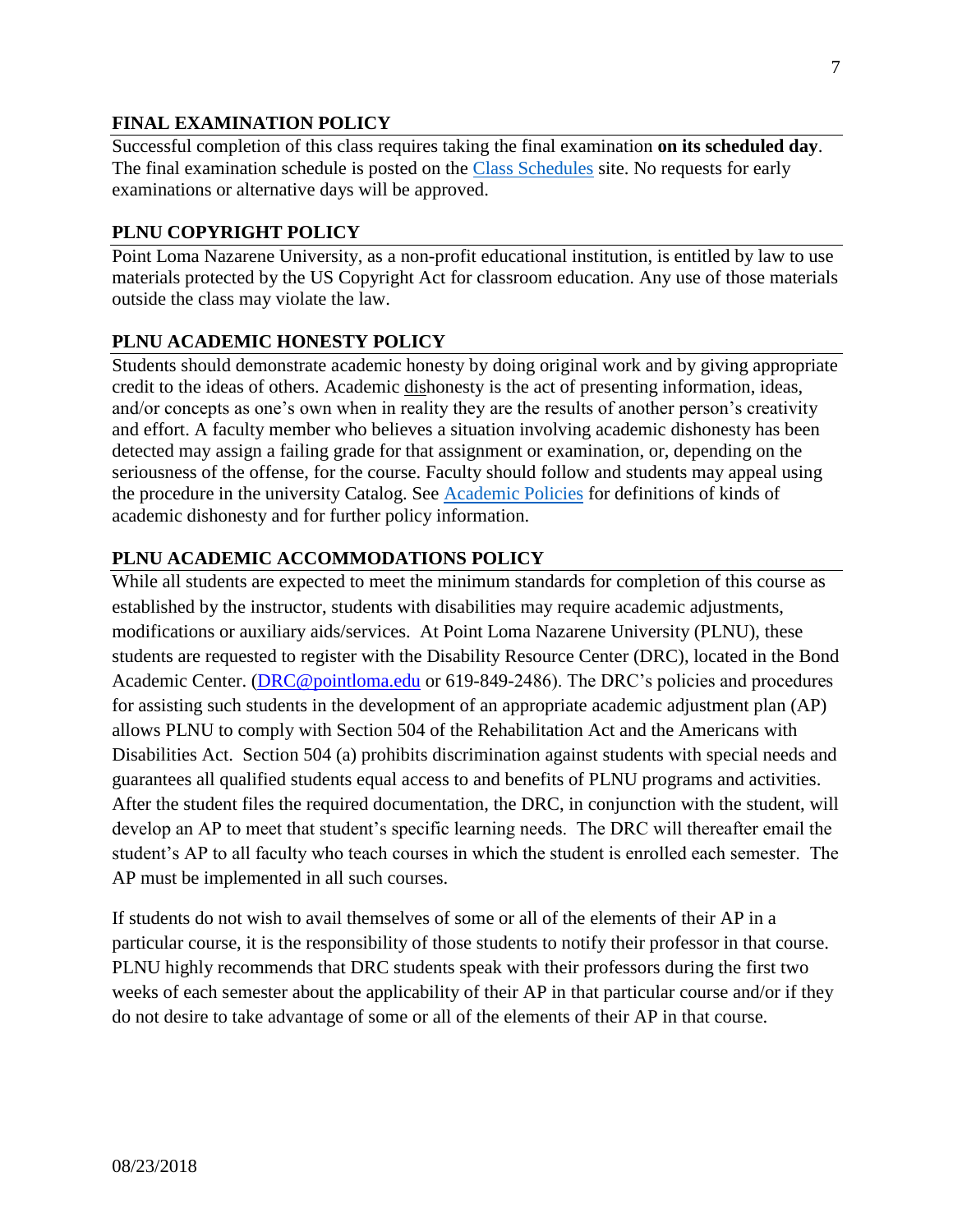# **FINAL EXAMINATION POLICY**

Successful completion of this class requires taking the final examination **on its scheduled day**. The final examination schedule is posted on the [Class Schedules](http://www.pointloma.edu/experience/academics/class-schedules) site. No requests for early examinations or alternative days will be approved.

### **PLNU COPYRIGHT POLICY**

Point Loma Nazarene University, as a non-profit educational institution, is entitled by law to use materials protected by the US Copyright Act for classroom education. Any use of those materials outside the class may violate the law.

### **PLNU ACADEMIC HONESTY POLICY**

Students should demonstrate academic honesty by doing original work and by giving appropriate credit to the ideas of others. Academic dishonesty is the act of presenting information, ideas, and/or concepts as one's own when in reality they are the results of another person's creativity and effort. A faculty member who believes a situation involving academic dishonesty has been detected may assign a failing grade for that assignment or examination, or, depending on the seriousness of the offense, for the course. Faculty should follow and students may appeal using the procedure in the university Catalog. See [Academic Policies](http://catalog.pointloma.edu/content.php?catoid=18&navoid=1278) for definitions of kinds of academic dishonesty and for further policy information.

### **PLNU ACADEMIC ACCOMMODATIONS POLICY**

While all students are expected to meet the minimum standards for completion of this course as established by the instructor, students with disabilities may require academic adjustments, modifications or auxiliary aids/services. At Point Loma Nazarene University (PLNU), these students are requested to register with the Disability Resource Center (DRC), located in the Bond Academic Center. [\(DRC@pointloma.edu](mailto:DRC@pointloma.edu) or 619-849-2486). The DRC's policies and procedures for assisting such students in the development of an appropriate academic adjustment plan (AP) allows PLNU to comply with Section 504 of the Rehabilitation Act and the Americans with Disabilities Act. Section 504 (a) prohibits discrimination against students with special needs and guarantees all qualified students equal access to and benefits of PLNU programs and activities. After the student files the required documentation, the DRC, in conjunction with the student, will develop an AP to meet that student's specific learning needs. The DRC will thereafter email the student's AP to all faculty who teach courses in which the student is enrolled each semester. The AP must be implemented in all such courses.

If students do not wish to avail themselves of some or all of the elements of their AP in a particular course, it is the responsibility of those students to notify their professor in that course. PLNU highly recommends that DRC students speak with their professors during the first two weeks of each semester about the applicability of their AP in that particular course and/or if they do not desire to take advantage of some or all of the elements of their AP in that course.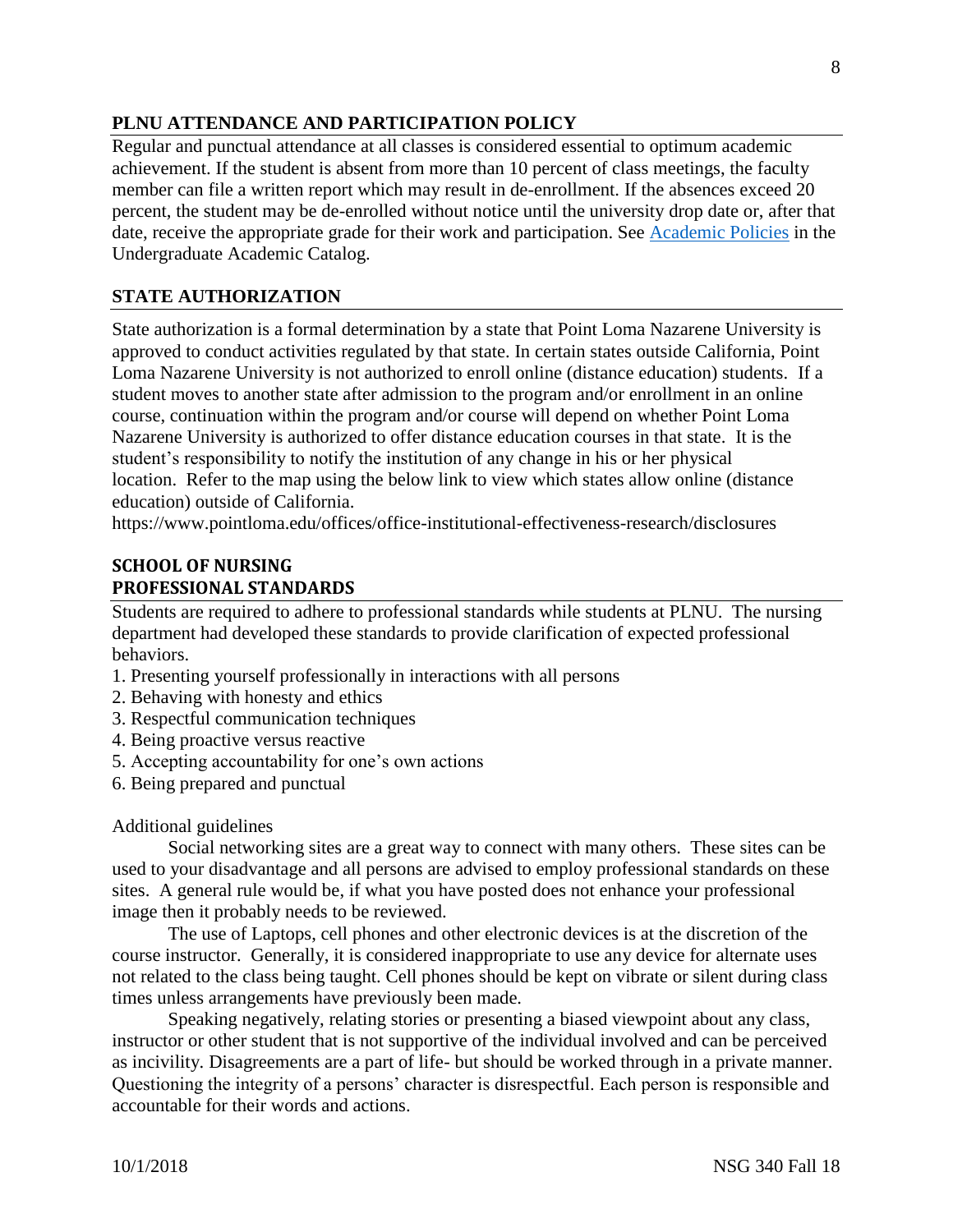### **PLNU ATTENDANCE AND PARTICIPATION POLICY**

Regular and punctual attendance at all classes is considered essential to optimum academic achievement. If the student is absent from more than 10 percent of class meetings, the faculty member can file a written report which may result in de-enrollment. If the absences exceed 20 percent, the student may be de-enrolled without notice until the university drop date or, after that date, receive the appropriate grade for their work and participation. See [Academic Policies](http://catalog.pointloma.edu/content.php?catoid=18&navoid=1278) in the Undergraduate Academic Catalog.

### **STATE AUTHORIZATION**

State authorization is a formal determination by a state that Point Loma Nazarene University is approved to conduct activities regulated by that state. In certain states outside California, Point Loma Nazarene University is not authorized to enroll online (distance education) students. If a student moves to another state after admission to the program and/or enrollment in an online course, continuation within the program and/or course will depend on whether Point Loma Nazarene University is authorized to offer distance education courses in that state. It is the student's responsibility to notify the institution of any change in his or her physical location. Refer to the map using the below link to view which states allow online (distance education) outside of California.

<https://www.pointloma.edu/offices/office-institutional-effectiveness-research/disclosures>

### **SCHOOL OF NURSING PROFESSIONAL STANDARDS**

Students are required to adhere to professional standards while students at PLNU. The nursing department had developed these standards to provide clarification of expected professional behaviors.

- 1. Presenting yourself professionally in interactions with all persons
- 2. Behaving with honesty and ethics
- 3. Respectful communication techniques
- 4. Being proactive versus reactive
- 5. Accepting accountability for one's own actions
- 6. Being prepared and punctual

#### Additional guidelines

Social networking sites are a great way to connect with many others. These sites can be used to your disadvantage and all persons are advised to employ professional standards on these sites. A general rule would be, if what you have posted does not enhance your professional image then it probably needs to be reviewed.

The use of Laptops, cell phones and other electronic devices is at the discretion of the course instructor. Generally, it is considered inappropriate to use any device for alternate uses not related to the class being taught. Cell phones should be kept on vibrate or silent during class times unless arrangements have previously been made.

Speaking negatively, relating stories or presenting a biased viewpoint about any class, instructor or other student that is not supportive of the individual involved and can be perceived as incivility. Disagreements are a part of life- but should be worked through in a private manner. Questioning the integrity of a persons' character is disrespectful. Each person is responsible and accountable for their words and actions.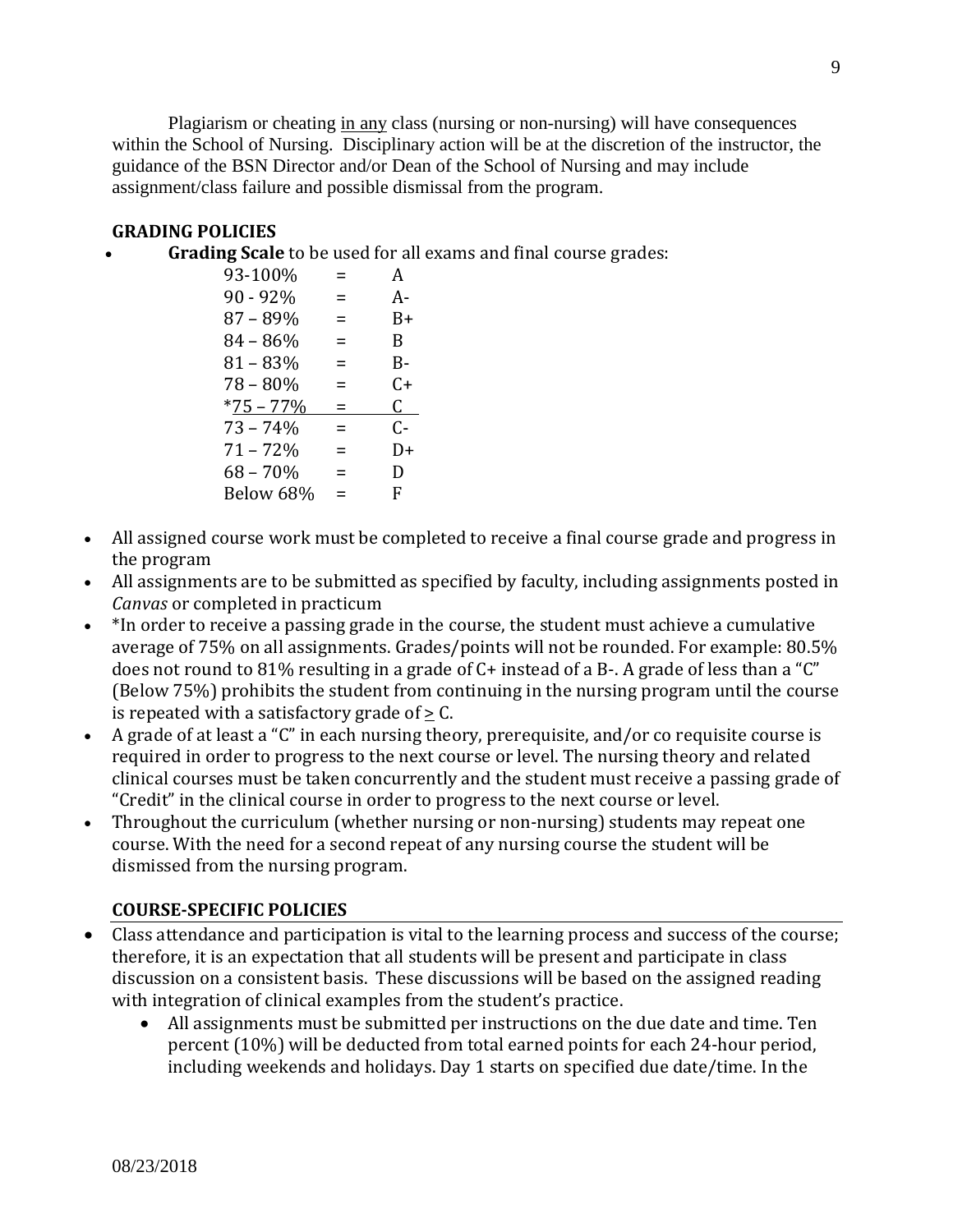Plagiarism or cheating in any class (nursing or non-nursing) will have consequences within the School of Nursing. Disciplinary action will be at the discretion of the instructor, the guidance of the BSN Director and/or Dean of the School of Nursing and may include assignment/class failure and possible dismissal from the program.

### **GRADING POLICIES**

• **Grading Scale** to be used for all exams and final course grades:

| 93-100%      | =        | A  |
|--------------|----------|----|
| $90 - 92%$   | =        | A- |
| 87 - 89%     | ⋍        | B+ |
| $84 - 86%$   | =        | B  |
| $81 - 83%$   | =        | B- |
| 78 - 80%     | =        | C+ |
| $*75 - 77\%$ | ⋍        | C. |
| $73 - 74%$   | $\equiv$ | C- |
| $71 - 72%$   | =        | D+ |
| $68 - 70%$   | =        | D  |
| Below 68%    | =        | F  |

- All assigned course work must be completed to receive a final course grade and progress in the program
- All assignments are to be submitted as specified by faculty, including assignments posted in *Canvas* or completed in practicum
- \*In order to receive a passing grade in the course, the student must achieve a cumulative average of 75% on all assignments. Grades/points will not be rounded. For example: 80.5% does not round to 81% resulting in a grade of C+ instead of a B-. A grade of less than a "C" (Below 75%) prohibits the student from continuing in the nursing program until the course is repeated with a satisfactory grade of  $> C$ .
- A grade of at least a "C" in each nursing theory, prerequisite, and/or co requisite course is required in order to progress to the next course or level. The nursing theory and related clinical courses must be taken concurrently and the student must receive a passing grade of "Credit" in the clinical course in order to progress to the next course or level.
- Throughout the curriculum (whether nursing or non-nursing) students may repeat one course. With the need for a second repeat of any nursing course the student will be dismissed from the nursing program.

### **COURSE-SPECIFIC POLICIES**

- Class attendance and participation is vital to the learning process and success of the course; therefore, it is an expectation that all students will be present and participate in class discussion on a consistent basis. These discussions will be based on the assigned reading with integration of clinical examples from the student's practice.
	- All assignments must be submitted per instructions on the due date and time. Ten percent (10%) will be deducted from total earned points for each 24-hour period, including weekends and holidays. Day 1 starts on specified due date/time. In the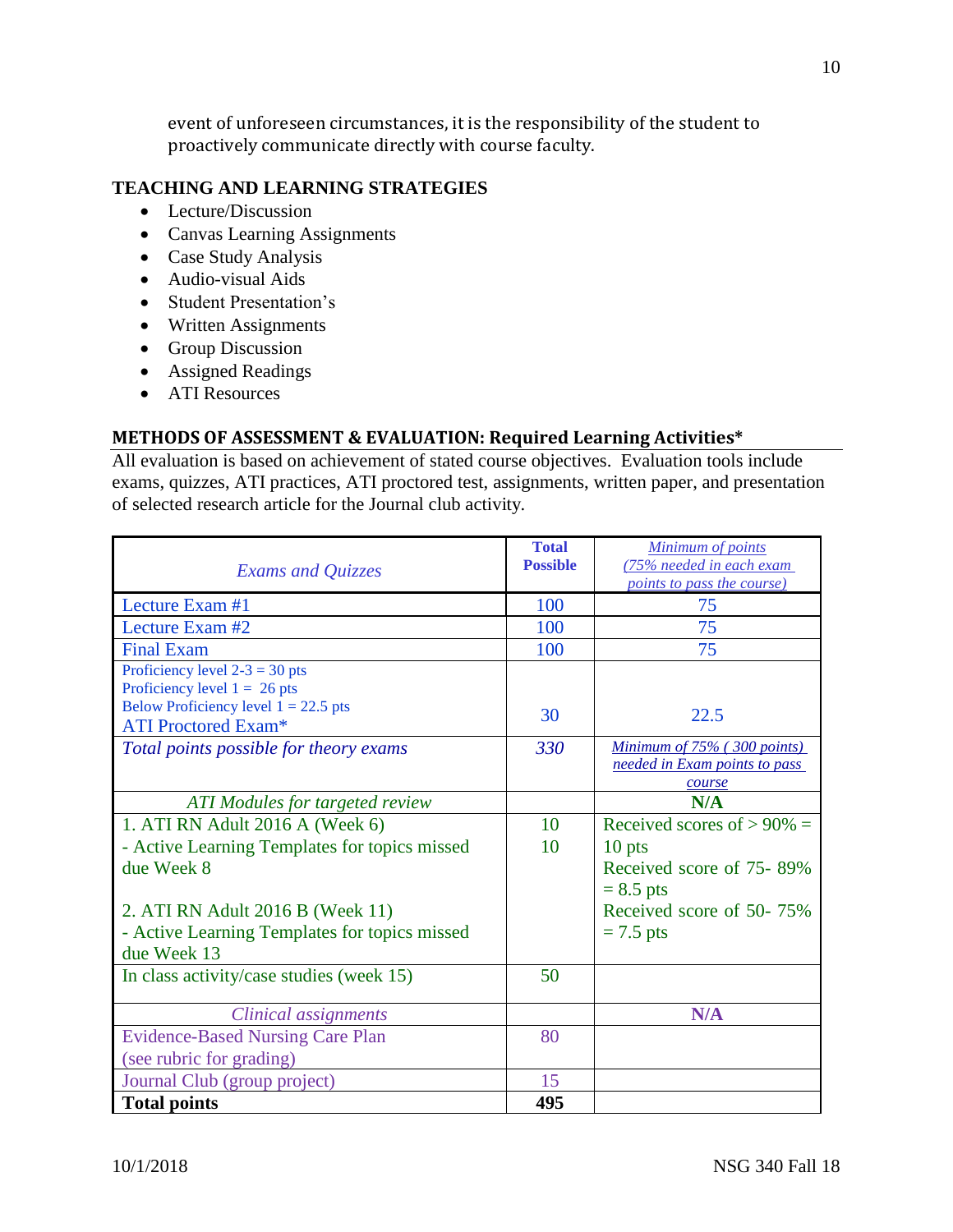event of unforeseen circumstances, it is the responsibility of the student to proactively communicate directly with course faculty.

### **TEACHING AND LEARNING STRATEGIES**

- Lecture/Discussion
- Canvas Learning Assignments
- Case Study Analysis
- Audio-visual Aids
- Student Presentation's
- Written Assignments
- Group Discussion
- Assigned Readings
- ATI Resources

### **METHODS OF ASSESSMENT & EVALUATION: Required Learning Activities\***

All evaluation is based on achievement of stated course objectives. Evaluation tools include exams, quizzes, ATI practices, ATI proctored test, assignments, written paper, and presentation of selected research article for the Journal club activity.

| <b>Exams and Quizzes</b>                      | <b>Total</b><br><b>Possible</b> | <b>Minimum of points</b><br>(75% needed in each exam<br><i>points to pass the course</i> ) |
|-----------------------------------------------|---------------------------------|--------------------------------------------------------------------------------------------|
| Lecture Exam #1                               | 100                             | 75                                                                                         |
| Lecture Exam #2                               | 100                             | 75                                                                                         |
| <b>Final Exam</b>                             | 100                             | 75                                                                                         |
| Proficiency level $2-3 = 30$ pts              |                                 |                                                                                            |
| Proficiency level $1 = 26$ pts                |                                 |                                                                                            |
| Below Proficiency level $1 = 22.5$ pts        | 30                              | 22.5                                                                                       |
| <b>ATI Proctored Exam*</b>                    |                                 |                                                                                            |
| Total points possible for theory exams        | 330                             | Minimum of 75% (300 points)                                                                |
|                                               |                                 | needed in Exam points to pass                                                              |
|                                               |                                 | course                                                                                     |
| <b>ATI</b> Modules for targeted review        |                                 | N/A                                                                                        |
| 1. ATI RN Adult 2016 A (Week 6)               | 10                              | Received scores of $> 90\% =$                                                              |
| - Active Learning Templates for topics missed | 10                              | 10 pts                                                                                     |
| due Week 8                                    |                                 | Received score of 75-89%                                                                   |
|                                               |                                 | $= 8.5$ pts                                                                                |
| 2. ATI RN Adult 2016 B (Week 11)              |                                 | Received score of 50-75%                                                                   |
| - Active Learning Templates for topics missed |                                 | $= 7.5$ pts                                                                                |
| due Week 13                                   |                                 |                                                                                            |
|                                               | 50                              |                                                                                            |
| In class activity/case studies (week 15)      |                                 |                                                                                            |
| Clinical assignments                          |                                 | N/A                                                                                        |
| <b>Evidence-Based Nursing Care Plan</b>       | 80                              |                                                                                            |
| (see rubric for grading)                      |                                 |                                                                                            |
| Journal Club (group project)                  | 15                              |                                                                                            |
| <b>Total points</b>                           | 495                             |                                                                                            |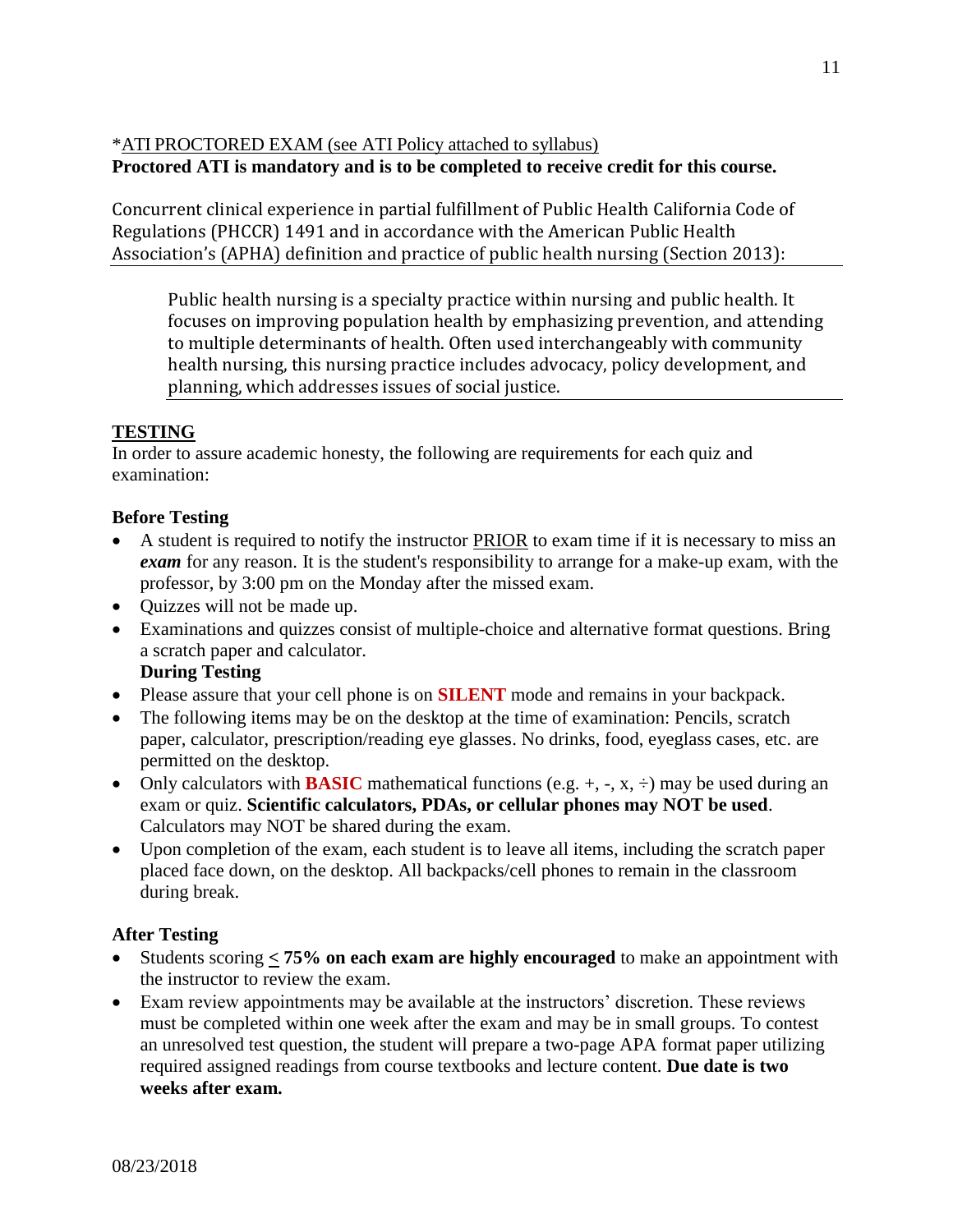\*ATI PROCTORED EXAM (see ATI Policy attached to syllabus) **Proctored ATI is mandatory and is to be completed to receive credit for this course.**

Concurrent clinical experience in partial fulfillment of Public Health California Code of Regulations (PHCCR) 1491 and in accordance with the American Public Health Association's (APHA) definition and practice of public health nursing (Section 2013):

Public health nursing is a specialty practice within nursing and public health. It focuses on improving population health by emphasizing prevention, and attending to multiple determinants of health. Often used interchangeably with community health nursing, this nursing practice includes advocacy, policy development, and planning, which addresses issues of social justice.

# **TESTING**

In order to assure academic honesty, the following are requirements for each quiz and examination:

# **Before Testing**

- A student is required to notify the instructor PRIOR to exam time if it is necessary to miss an *exam* for any reason. It is the student's responsibility to arrange for a make-up exam, with the professor, by 3:00 pm on the Monday after the missed exam.
- Quizzes will not be made up.
- Examinations and quizzes consist of multiple-choice and alternative format questions. Bring a scratch paper and calculator.

# **During Testing**

- Please assure that your cell phone is on **SILENT** mode and remains in your backpack.
- The following items may be on the desktop at the time of examination: Pencils, scratch paper, calculator, prescription/reading eye glasses. No drinks, food, eyeglass cases, etc. are permitted on the desktop.
- Only calculators with **BASIC** mathematical functions (e.g.  $+$ ,  $-$ ,  $x$ ,  $\div$ ) may be used during an exam or quiz. **Scientific calculators, PDAs, or cellular phones may NOT be used**. Calculators may NOT be shared during the exam.
- Upon completion of the exam, each student is to leave all items, including the scratch paper placed face down, on the desktop. All backpacks/cell phones to remain in the classroom during break.

# **After Testing**

- Students scoring **< 75% on each exam are highly encouraged** to make an appointment with the instructor to review the exam.
- Exam review appointments may be available at the instructors' discretion. These reviews must be completed within one week after the exam and may be in small groups. To contest an unresolved test question, the student will prepare a two-page APA format paper utilizing required assigned readings from course textbooks and lecture content. **Due date is two weeks after exam.**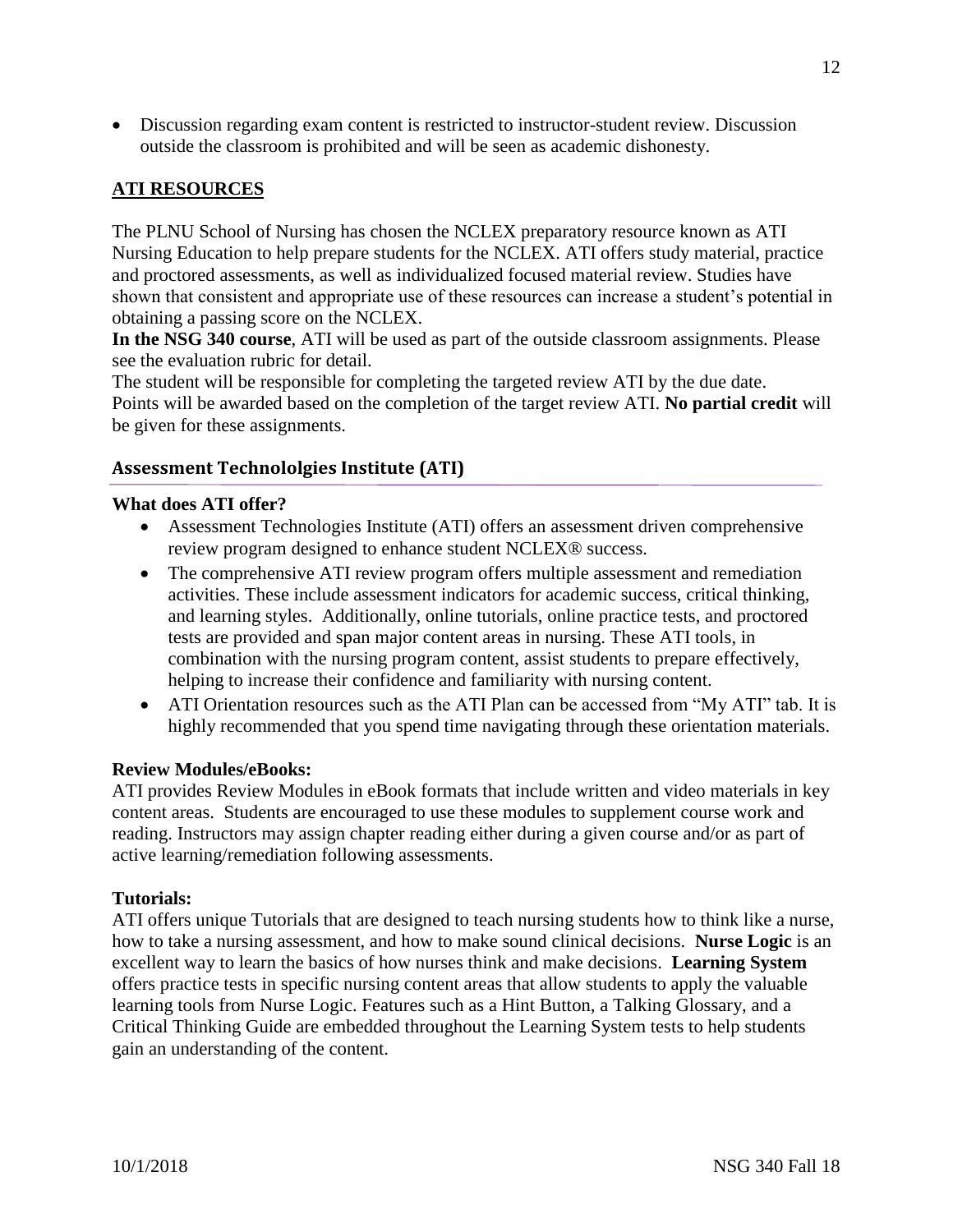• Discussion regarding exam content is restricted to instructor-student review. Discussion outside the classroom is prohibited and will be seen as academic dishonesty.

# **ATI RESOURCES**

The PLNU School of Nursing has chosen the NCLEX preparatory resource known as ATI Nursing Education to help prepare students for the NCLEX. ATI offers study material, practice and proctored assessments, as well as individualized focused material review. Studies have shown that consistent and appropriate use of these resources can increase a student's potential in obtaining a passing score on the NCLEX.

**In the NSG 340 course**, ATI will be used as part of the outside classroom assignments. Please see the evaluation rubric for detail.

The student will be responsible for completing the targeted review ATI by the due date. Points will be awarded based on the completion of the target review ATI. **No partial credit** will be given for these assignments.

### **Assessment Technololgies Institute (ATI)**

#### **What does ATI offer?**

- Assessment Technologies Institute (ATI) offers an assessment driven comprehensive review program designed to enhance student NCLEX® success.
- The comprehensive ATI review program offers multiple assessment and remediation activities. These include assessment indicators for academic success, critical thinking, and learning styles. Additionally, online tutorials, online practice tests, and proctored tests are provided and span major content areas in nursing. These ATI tools, in combination with the nursing program content, assist students to prepare effectively, helping to increase their confidence and familiarity with nursing content.
- ATI Orientation resources such as the ATI Plan can be accessed from "My ATI" tab. It is highly recommended that you spend time navigating through these orientation materials.

#### **Review Modules/eBooks:**

ATI provides Review Modules in eBook formats that include written and video materials in key content areas. Students are encouraged to use these modules to supplement course work and reading. Instructors may assign chapter reading either during a given course and/or as part of active learning/remediation following assessments.

#### **Tutorials:**

ATI offers unique Tutorials that are designed to teach nursing students how to think like a nurse, how to take a nursing assessment, and how to make sound clinical decisions. **Nurse Logic** is an excellent way to learn the basics of how nurses think and make decisions. **Learning System**  offers practice tests in specific nursing content areas that allow students to apply the valuable learning tools from Nurse Logic. Features such as a Hint Button, a Talking Glossary, and a Critical Thinking Guide are embedded throughout the Learning System tests to help students gain an understanding of the content.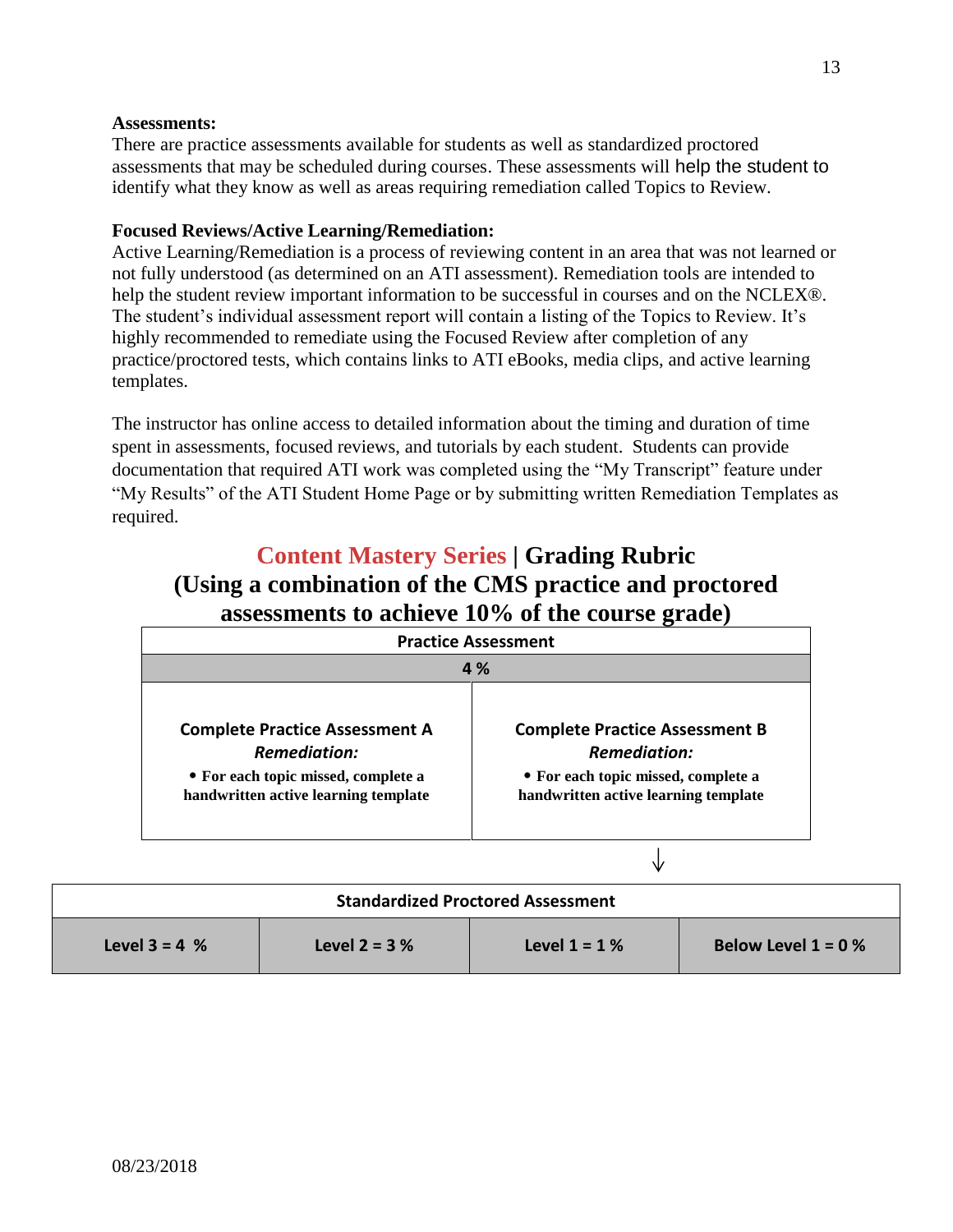### **Assessments:**

There are practice assessments available for students as well as standardized proctored assessments that may be scheduled during courses. These assessments will help the student to identify what they know as well as areas requiring remediation called Topics to Review.

### **Focused Reviews/Active Learning/Remediation:**

Active Learning/Remediation is a process of reviewing content in an area that was not learned or not fully understood (as determined on an ATI assessment). Remediation tools are intended to help the student review important information to be successful in courses and on the NCLEX®. The student's individual assessment report will contain a listing of the Topics to Review. It's highly recommended to remediate using the Focused Review after completion of any practice/proctored tests, which contains links to ATI eBooks, media clips, and active learning templates.

The instructor has online access to detailed information about the timing and duration of time spent in assessments, focused reviews, and tutorials by each student. Students can provide documentation that required ATI work was completed using the "My Transcript" feature under "My Results" of the ATI Student Home Page or by submitting written Remediation Templates as required.

# **Content Mastery Series | Grading Rubric (Using a combination of the CMS practice and proctored assessments to achieve 10% of the course grade)**

| <b>Practice Assessment</b><br>4 %    |                                      |  |
|--------------------------------------|--------------------------------------|--|
|                                      |                                      |  |
| <b>Remediation:</b>                  | <b>Remediation:</b>                  |  |
| • For each topic missed, complete a  | • For each topic missed, complete a  |  |
| handwritten active learning template | handwritten active learning template |  |

| <b>Standardized Proctored Assessment</b> |                  |                 |                       |
|------------------------------------------|------------------|-----------------|-----------------------|
| <b>Level 3 = 4 %</b>                     | Level $2 = 3 \%$ | Level $1 = 1\%$ | Below Level $1 = 0$ % |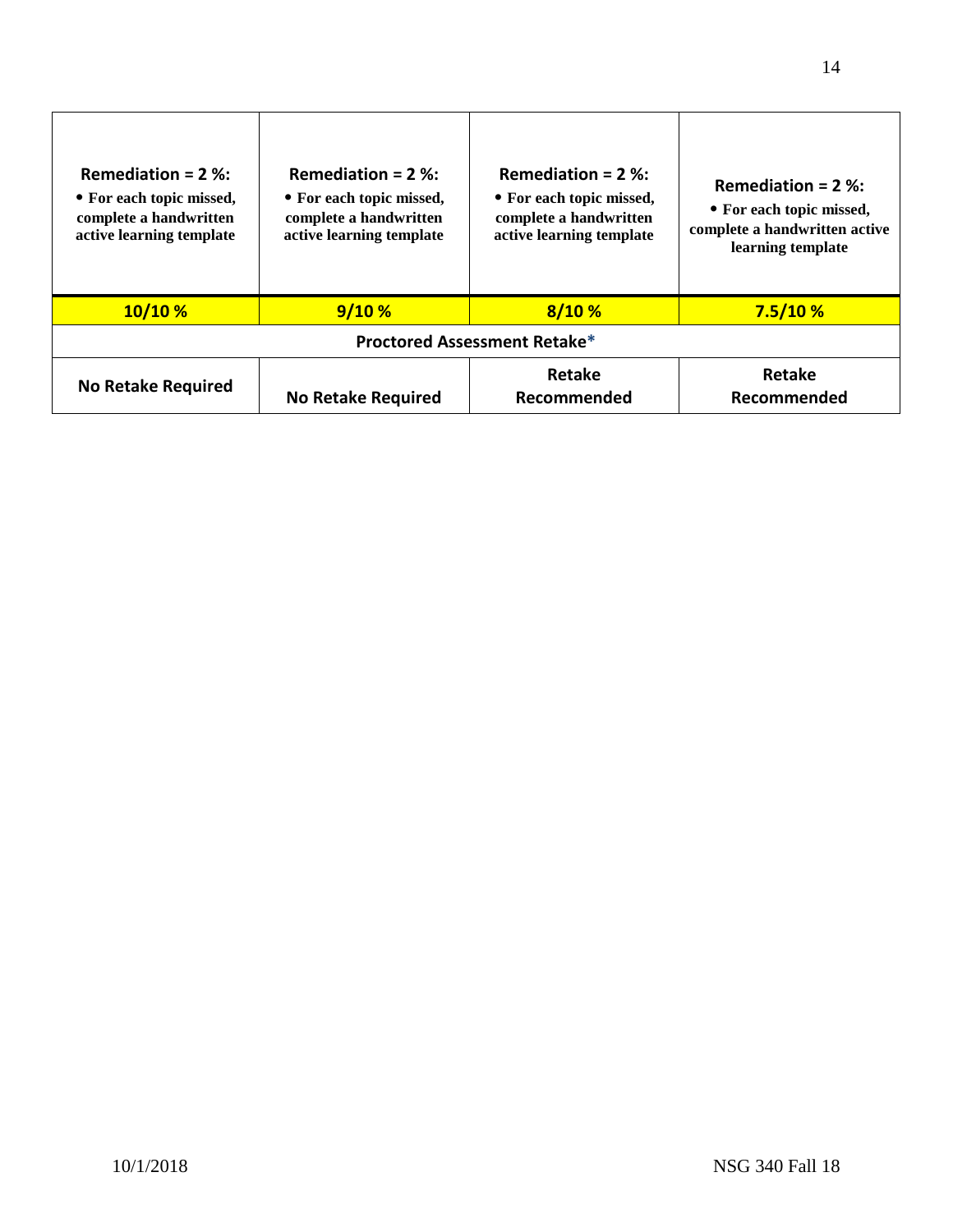| Remediation = $2$ %:<br>• For each topic missed,<br>complete a handwritten<br>active learning template | Remediation = $2$ %:<br>• For each topic missed,<br>complete a handwritten<br>active learning template | Remediation = $2$ %:<br>• For each topic missed,<br>complete a handwritten<br>active learning template | Remediation = $2$ %:<br>• For each topic missed,<br>complete a handwritten active<br>learning template |
|--------------------------------------------------------------------------------------------------------|--------------------------------------------------------------------------------------------------------|--------------------------------------------------------------------------------------------------------|--------------------------------------------------------------------------------------------------------|
| 10/10%                                                                                                 | 9/10%                                                                                                  | 8/10%                                                                                                  | 7.5/10%                                                                                                |
| <b>Proctored Assessment Retake*</b>                                                                    |                                                                                                        |                                                                                                        |                                                                                                        |
| <b>No Retake Required</b>                                                                              | <b>No Retake Required</b>                                                                              | Retake<br>Recommended                                                                                  | Retake<br>Recommended                                                                                  |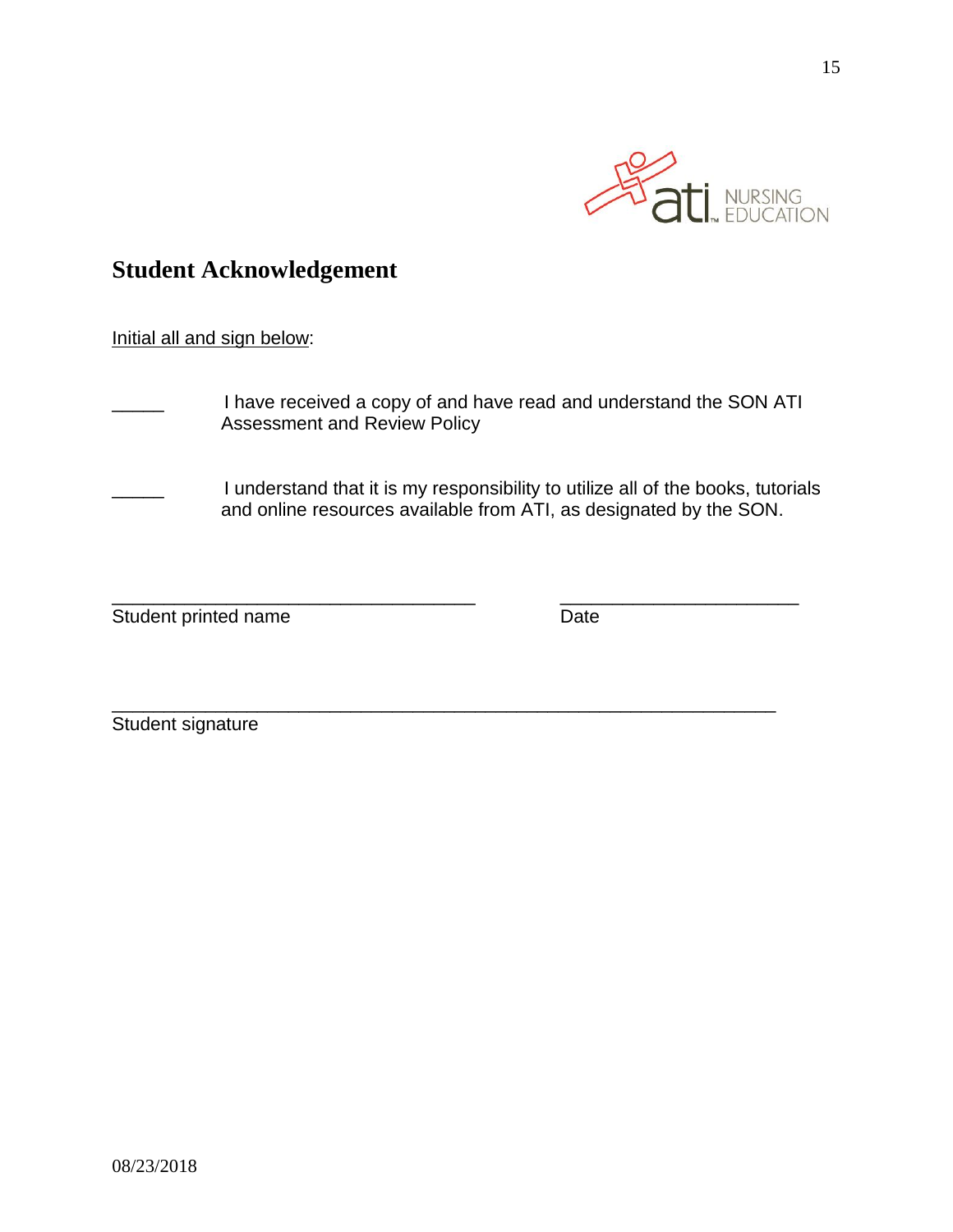

# **Student Acknowledgement**

# Initial all and sign below:

- I have received a copy of and have read and understand the SON ATI Assessment and Review Policy
- I understand that it is my responsibility to utilize all of the books, tutorials and online resources available from ATI, as designated by the SON.

\_\_\_\_\_\_\_\_\_\_\_\_\_\_\_\_\_\_\_\_\_\_\_\_\_\_\_\_\_\_\_\_\_\_\_ \_\_\_\_\_\_\_\_\_\_\_\_\_\_\_\_\_\_\_\_\_\_\_

\_\_\_\_\_\_\_\_\_\_\_\_\_\_\_\_\_\_\_\_\_\_\_\_\_\_\_\_\_\_\_\_\_\_\_\_\_\_\_\_\_\_\_\_\_\_\_\_\_\_\_\_\_\_\_\_\_\_\_\_\_\_\_\_

Student printed name Date

Student signature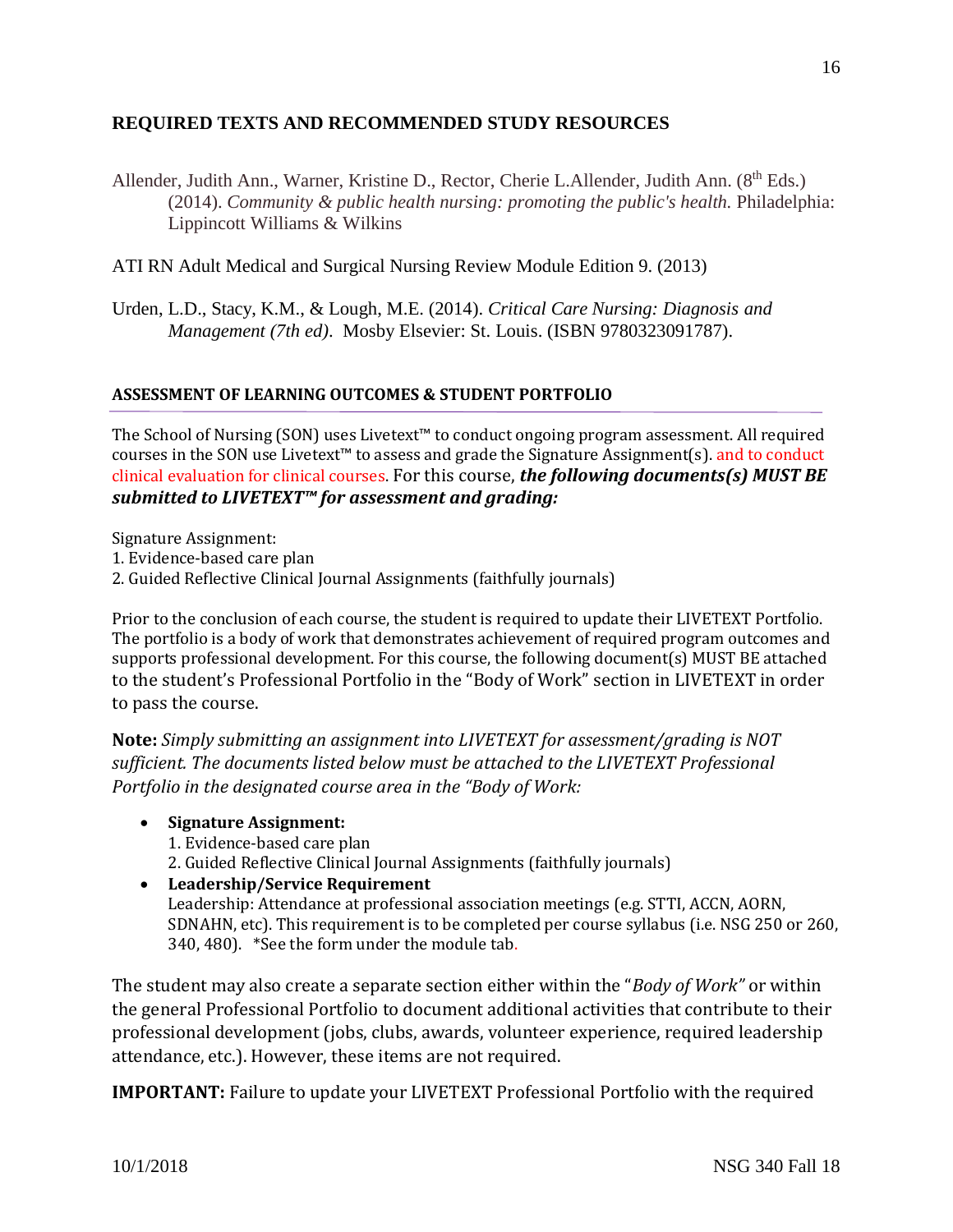# **REQUIRED TEXTS AND RECOMMENDED STUDY RESOURCES**

Allender, Judith Ann., Warner, Kristine D., Rector, Cherie L.Allender, Judith Ann. (8<sup>th</sup> Eds.) (2014). *Community & public health nursing: promoting the public's health.* Philadelphia: Lippincott Williams & Wilkins

ATI RN Adult Medical and Surgical Nursing Review Module Edition 9. (2013)

Urden, L.D., Stacy, K.M., & Lough, M.E. (2014). *Critical Care Nursing: Diagnosis and Management (7th ed)*. Mosby Elsevier: St. Louis. (ISBN 9780323091787).

### **ASSESSMENT OF LEARNING OUTCOMES & STUDENT PORTFOLIO**

The School of Nursing (SON) uses Livetext™ to conduct ongoing program assessment. All required courses in the SON use Livetext™ to assess and grade the Signature Assignment(s). and to conduct clinical evaluation for clinical courses. For this course, *the following documents(s) MUST BE submitted to LIVETEXT™ for assessment and grading:*

Signature Assignment:

- 1. Evidence-based care plan
- 2. Guided Reflective Clinical Journal Assignments (faithfully journals)

Prior to the conclusion of each course, the student is required to update their LIVETEXT Portfolio. The portfolio is a body of work that demonstrates achievement of required program outcomes and supports professional development. For this course, the following document(s) MUST BE attached to the student's Professional Portfolio in the "Body of Work" section in LIVETEXT in order to pass the course.

**Note:** *Simply submitting an assignment into LIVETEXT for assessment/grading is NOT sufficient. The documents listed below must be attached to the LIVETEXT Professional Portfolio in the designated course area in the "Body of Work:* 

- **Signature Assignment:** 1. Evidence-based care plan 2. Guided Reflective Clinical Journal Assignments (faithfully journals)
- **Leadership/Service Requirement** Leadership: Attendance at professional association meetings (e.g. STTI, ACCN, AORN, SDNAHN, etc). This requirement is to be completed per course syllabus (i.e. NSG 250 or 260, 340, 480). \*See the form under the module tab.

The student may also create a separate section either within the "*Body of Work"* or within the general Professional Portfolio to document additional activities that contribute to their professional development (jobs, clubs, awards, volunteer experience, required leadership attendance, etc.). However, these items are not required.

**IMPORTANT:** Failure to update your LIVETEXT Professional Portfolio with the required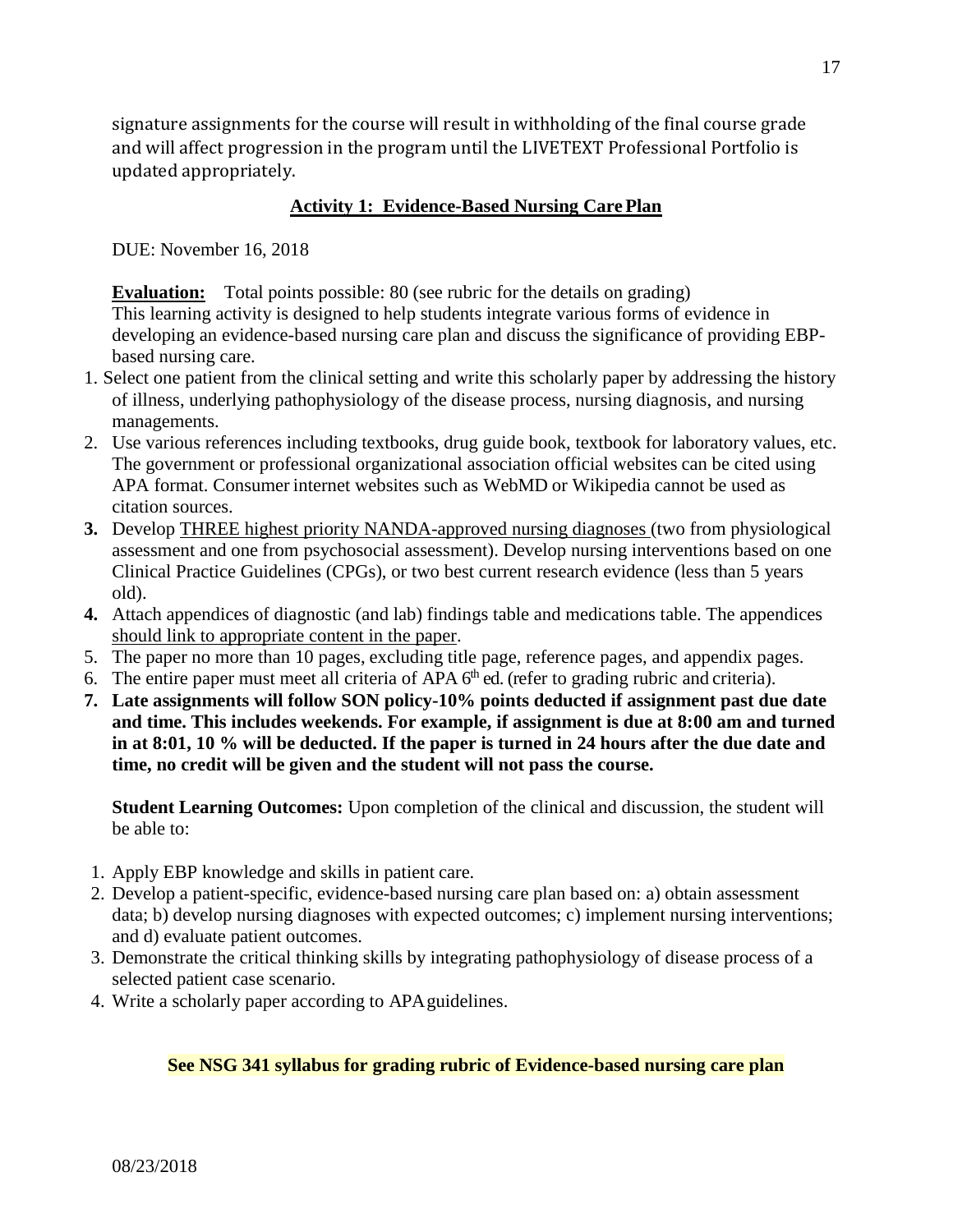signature assignments for the course will result in withholding of the final course grade and will affect progression in the program until the LIVETEXT Professional Portfolio is updated appropriately.

# **Activity 1: Evidence-Based Nursing Care Plan**

DUE: November 16, 2018

**Evaluation:** Total points possible: 80 (see rubric for the details on grading) This learning activity is designed to help students integrate various forms of evidence in developing an evidence-based nursing care plan and discuss the significance of providing EBPbased nursing care.

- 1. Select one patient from the clinical setting and write this scholarly paper by addressing the history of illness, underlying pathophysiology of the disease process, nursing diagnosis, and nursing managements.
- 2. Use various references including textbooks, drug guide book, textbook for laboratory values, etc. The government or professional organizational association official websites can be cited using APA format. Consumer internet websites such as WebMD or Wikipedia cannot be used as citation sources.
- **3.** Develop THREE highest priority NANDA-approved nursing diagnoses (two from physiological assessment and one from psychosocial assessment). Develop nursing interventions based on one Clinical Practice Guidelines (CPGs), or two best current research evidence (less than 5 years old).
- **4.** Attach appendices of diagnostic (and lab) findings table and medications table. The appendices should link to appropriate content in the paper.
- 5. The paper no more than 10 pages, excluding title page, reference pages, and appendix pages.
- 6. The entire paper must meet all criteria of APA  $6<sup>th</sup>$  ed. (refer to grading rubric and criteria).
- **7. Late assignments will follow SON policy-10% points deducted if assignment past due date and time. This includes weekends. For example, if assignment is due at 8:00 am and turned in at 8:01, 10 % will be deducted. If the paper is turned in 24 hours after the due date and time, no credit will be given and the student will not pass the course.**

**Student Learning Outcomes:** Upon completion of the clinical and discussion, the student will be able to:

- 1. Apply EBP knowledge and skills in patient care.
- 2. Develop a patient-specific, evidence-based nursing care plan based on: a) obtain assessment data; b) develop nursing diagnoses with expected outcomes; c) implement nursing interventions; and d) evaluate patient outcomes.
- 3. Demonstrate the critical thinking skills by integrating pathophysiology of disease process of a selected patient case scenario.
- 4. Write a scholarly paper according to APAguidelines.

# **See NSG 341 syllabus for grading rubric of Evidence-based nursing care plan**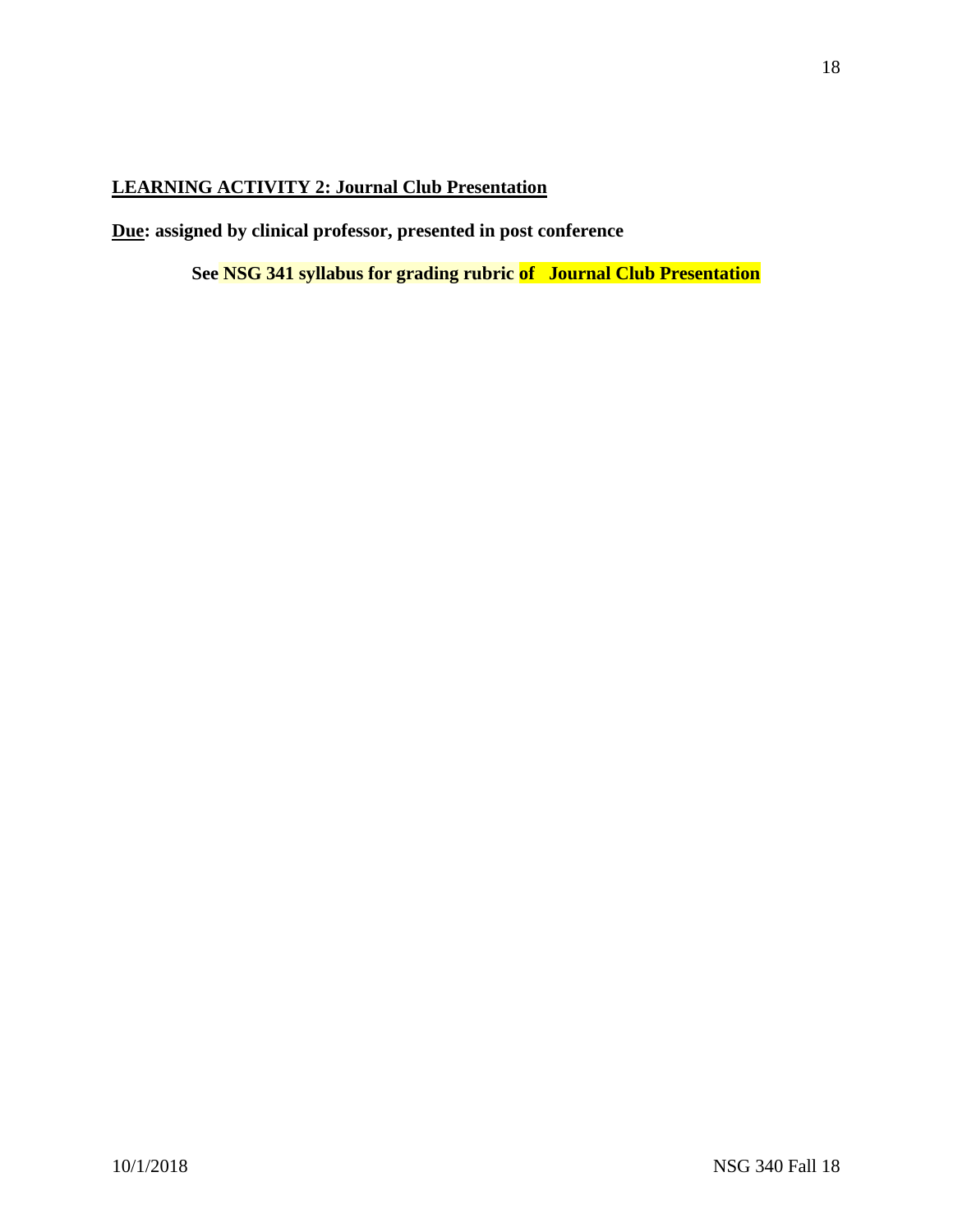# **LEARNING ACTIVITY 2: Journal Club Presentation**

**Due: assigned by clinical professor, presented in post conference**

**See NSG 341 syllabus for grading rubric of Journal Club Presentation**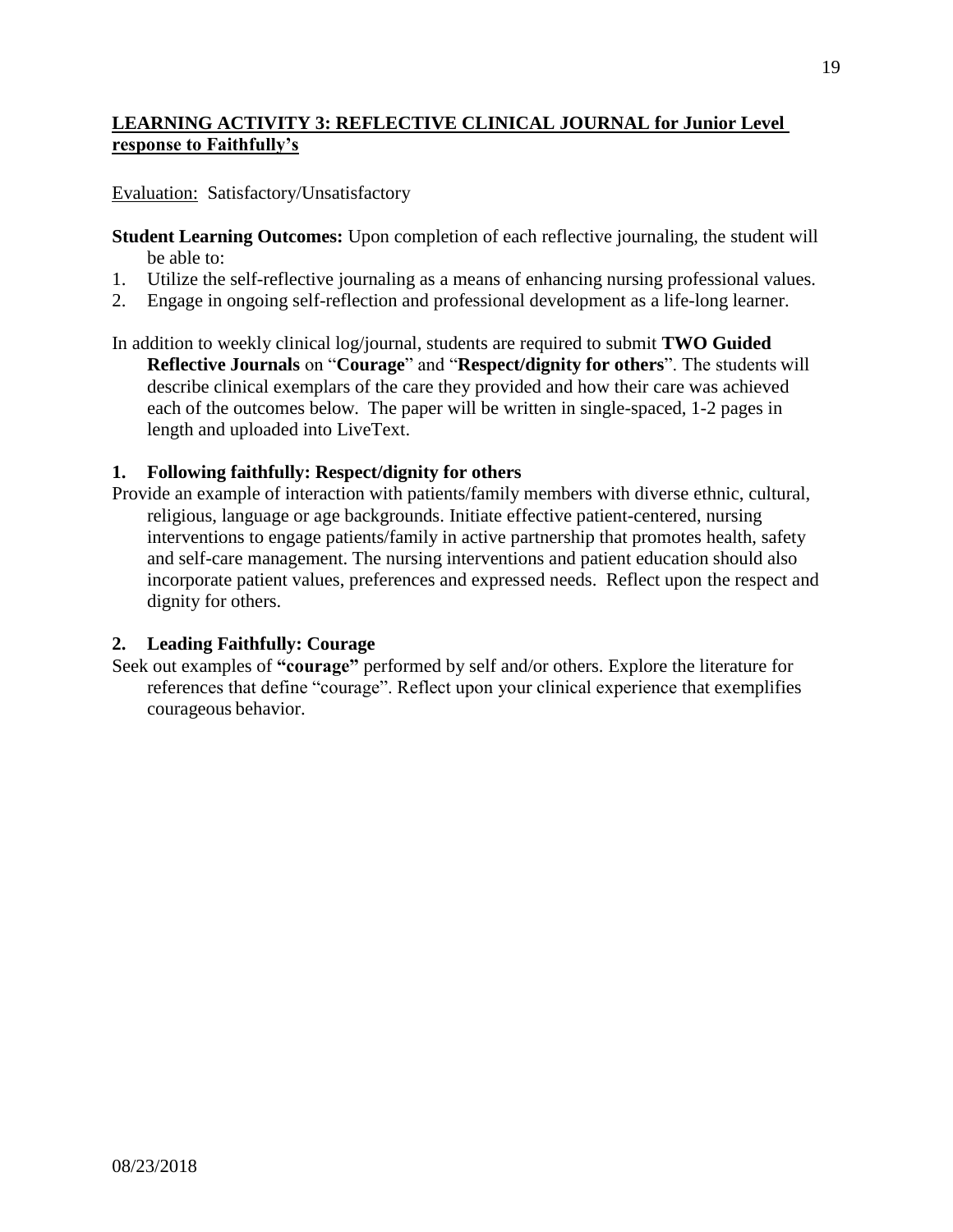# **LEARNING ACTIVITY 3: REFLECTIVE CLINICAL JOURNAL for Junior Level response to Faithfully's**

Evaluation: Satisfactory/Unsatisfactory

- **Student Learning Outcomes:** Upon completion of each reflective journaling, the student will be able to:
- 1. Utilize the self-reflective journaling as a means of enhancing nursing professional values.
- 2. Engage in ongoing self-reflection and professional development as a life-long learner.
- In addition to weekly clinical log/journal, students are required to submit **TWO Guided Reflective Journals** on "**Courage**" and "**Respect/dignity for others**". The students will describe clinical exemplars of the care they provided and how their care was achieved each of the outcomes below. The paper will be written in single-spaced, 1-2 pages in length and uploaded into LiveText.

### **1. Following faithfully: Respect/dignity for others**

Provide an example of interaction with patients/family members with diverse ethnic, cultural, religious, language or age backgrounds. Initiate effective patient-centered, nursing interventions to engage patients/family in active partnership that promotes health, safety and self-care management. The nursing interventions and patient education should also incorporate patient values, preferences and expressed needs. Reflect upon the respect and dignity for others.

### **2. Leading Faithfully: Courage**

Seek out examples of **"courage"** performed by self and/or others. Explore the literature for references that define "courage". Reflect upon your clinical experience that exemplifies courageous behavior.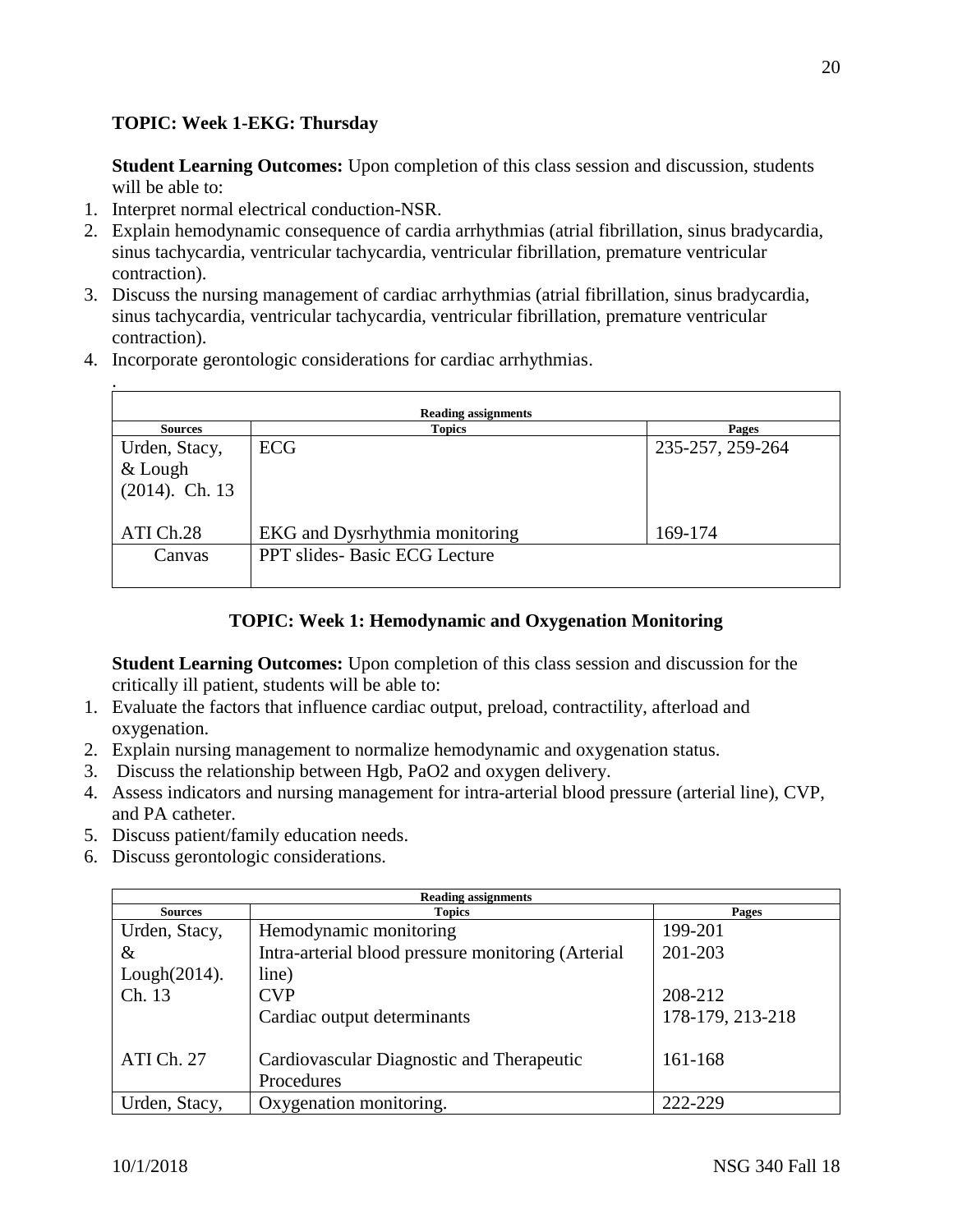# **TOPIC: Week 1-EKG: Thursday**

**Student Learning Outcomes:** Upon completion of this class session and discussion, students will be able to:

1. Interpret normal electrical conduction-NSR.

.

- 2. Explain hemodynamic consequence of cardia arrhythmias (atrial fibrillation, sinus bradycardia, sinus tachycardia, ventricular tachycardia, ventricular fibrillation, premature ventricular contraction).
- 3. Discuss the nursing management of cardiac arrhythmias (atrial fibrillation, sinus bradycardia, sinus tachycardia, ventricular tachycardia, ventricular fibrillation, premature ventricular contraction).
- 4. Incorporate gerontologic considerations for cardiac arrhythmias.

| <b>Reading assignments</b> |                                     |                  |
|----------------------------|-------------------------------------|------------------|
| <b>Sources</b>             | <b>Topics</b>                       | Pages            |
| Urden, Stacy,              | <b>ECG</b>                          | 235-257, 259-264 |
| $&$ Lough                  |                                     |                  |
| $(2014)$ . Ch. 13          |                                     |                  |
|                            |                                     |                  |
| ATI Ch.28                  | EKG and Dysrhythmia monitoring      | 169-174          |
| Canvas                     | <b>PPT</b> slides-Basic ECG Lecture |                  |
|                            |                                     |                  |

# **TOPIC: Week 1: Hemodynamic and Oxygenation Monitoring**

**Student Learning Outcomes:** Upon completion of this class session and discussion for the critically ill patient, students will be able to:

- 1. Evaluate the factors that influence cardiac output, preload, contractility, afterload and oxygenation.
- 2. Explain nursing management to normalize hemodynamic and oxygenation status.
- 3. Discuss the relationship between Hgb, PaO2 and oxygen delivery.
- 4. Assess indicators and nursing management for intra-arterial blood pressure (arterial line), CVP, and PA catheter.
- 5. Discuss patient/family education needs.
- 6. Discuss gerontologic considerations.

| <b>Reading assignments</b> |                                                    |                  |
|----------------------------|----------------------------------------------------|------------------|
| <b>Sources</b>             | <b>Topics</b>                                      | Pages            |
| Urden, Stacy,              | Hemodynamic monitoring                             | 199-201          |
| $\&$                       | Intra-arterial blood pressure monitoring (Arterial | 201-203          |
| Lough(2014).               | line)                                              |                  |
| Ch. 13                     | <b>CVP</b>                                         | 208-212          |
|                            | Cardiac output determinants                        | 178-179, 213-218 |
|                            |                                                    |                  |
| ATI Ch. 27                 | Cardiovascular Diagnostic and Therapeutic          | 161-168          |
|                            | Procedures                                         |                  |
| Urden, Stacy,              | Oxygenation monitoring.                            | 222-229          |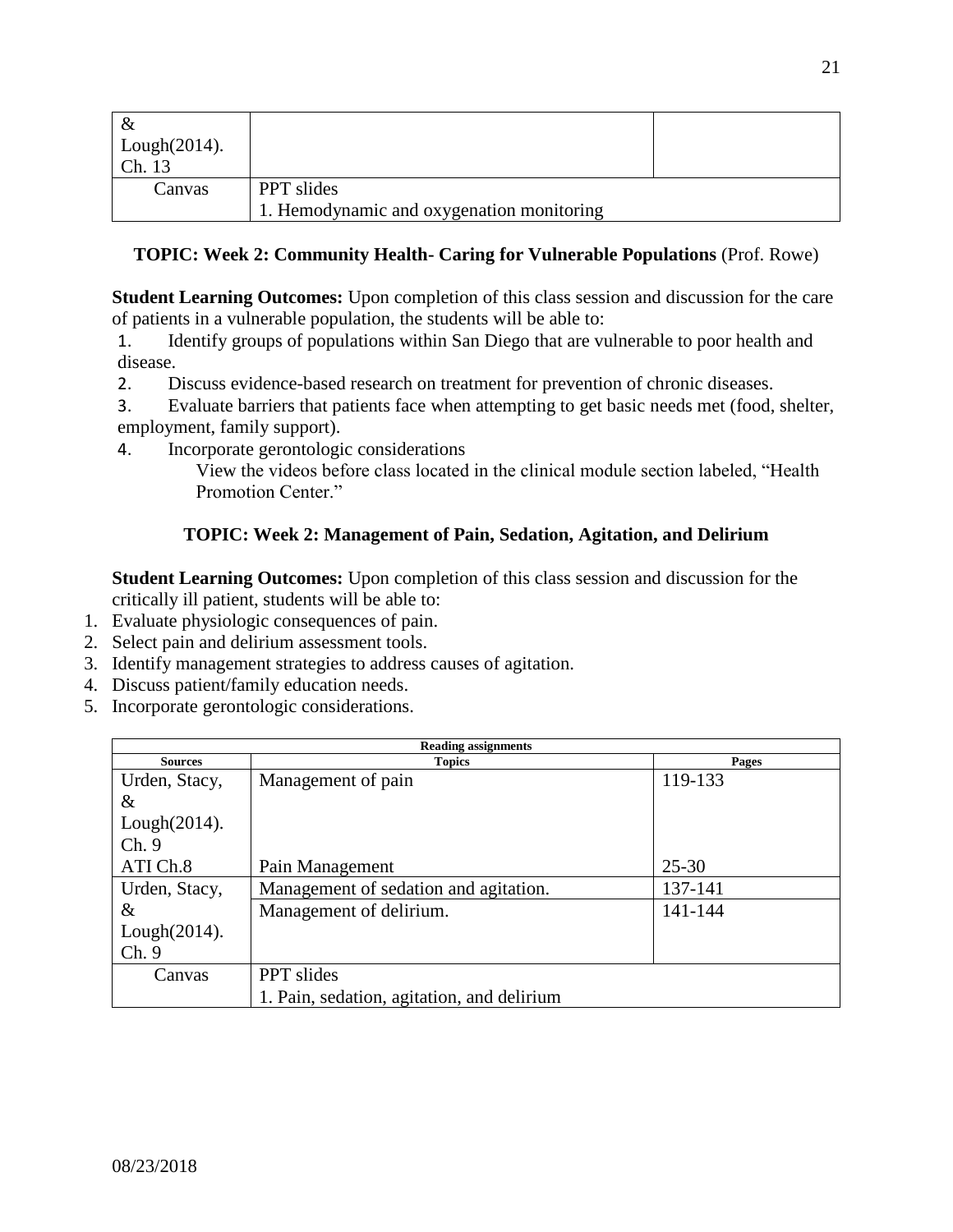| &                |                                           |  |
|------------------|-------------------------------------------|--|
| Lough $(2014)$ . |                                           |  |
| Ch. 13           |                                           |  |
| Canvas           | <b>PPT</b> slides                         |  |
|                  | 1. Hemodynamic and oxygenation monitoring |  |

# **TOPIC: Week 2: Community Health- Caring for Vulnerable Populations** (Prof. Rowe)

**Student Learning Outcomes:** Upon completion of this class session and discussion for the care of patients in a vulnerable population, the students will be able to:

1. Identify groups of populations within San Diego that are vulnerable to poor health and disease.

2. Discuss evidence-based research on treatment for prevention of chronic diseases.

3. Evaluate barriers that patients face when attempting to get basic needs met (food, shelter, employment, family support).

4. Incorporate gerontologic considerations

View the videos before class located in the clinical module section labeled, "Health Promotion Center."

# **TOPIC: Week 2: Management of Pain, Sedation, Agitation, and Delirium**

**Student Learning Outcomes:** Upon completion of this class session and discussion for the critically ill patient, students will be able to:

- 1. Evaluate physiologic consequences of pain.
- 2. Select pain and delirium assessment tools.
- 3. Identify management strategies to address causes of agitation.
- 4. Discuss patient/family education needs.
- 5. Incorporate gerontologic considerations.

| <b>Reading assignments</b> |                                            |           |
|----------------------------|--------------------------------------------|-----------|
| <b>Sources</b>             | <b>Topics</b>                              | Pages     |
| Urden, Stacy,              | Management of pain                         | 119-133   |
| &                          |                                            |           |
| Lough $(2014)$ .           |                                            |           |
| Ch.9                       |                                            |           |
| ATI Ch.8                   | Pain Management                            | $25 - 30$ |
| Urden, Stacy,              | Management of sedation and agitation.      | 137-141   |
| &                          | Management of delirium.                    | 141-144   |
| $Lough(2014)$ .            |                                            |           |
| Ch.9                       |                                            |           |
| Canvas                     | <b>PPT</b> slides                          |           |
|                            | 1. Pain, sedation, agitation, and delirium |           |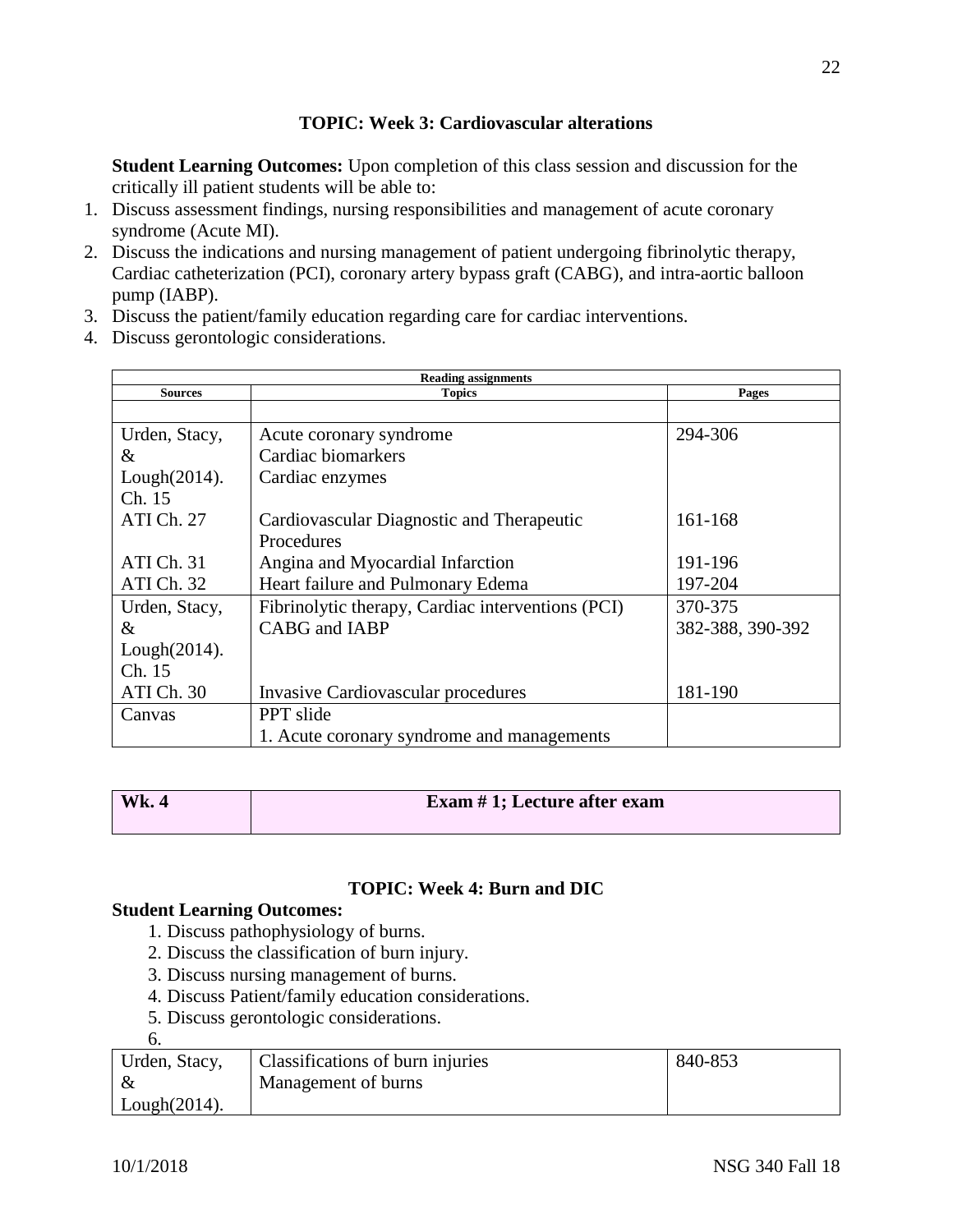# **TOPIC: Week 3: Cardiovascular alterations**

**Student Learning Outcomes:** Upon completion of this class session and discussion for the critically ill patient students will be able to:

- 1. Discuss assessment findings, nursing responsibilities and management of acute coronary syndrome (Acute MI).
- 2. Discuss the indications and nursing management of patient undergoing fibrinolytic therapy, Cardiac catheterization (PCI), coronary artery bypass graft (CABG), and intra-aortic balloon pump (IABP).
- 3. Discuss the patient/family education regarding care for cardiac interventions.
- 4. Discuss gerontologic considerations.

| <b>Reading assignments</b> |                                                   |                  |  |
|----------------------------|---------------------------------------------------|------------------|--|
| <b>Sources</b>             | <b>Topics</b>                                     | Pages            |  |
|                            |                                                   |                  |  |
| Urden, Stacy,              | Acute coronary syndrome                           | 294-306          |  |
| $\&$                       | Cardiac biomarkers                                |                  |  |
| $Lough(2014)$ .            | Cardiac enzymes                                   |                  |  |
| Ch. 15                     |                                                   |                  |  |
| ATI Ch. 27                 | Cardiovascular Diagnostic and Therapeutic         | 161-168          |  |
|                            | Procedures                                        |                  |  |
| ATI Ch. 31                 | Angina and Myocardial Infarction                  | 191-196          |  |
| ATI Ch. 32                 | Heart failure and Pulmonary Edema                 | 197-204          |  |
| Urden, Stacy,              | Fibrinolytic therapy, Cardiac interventions (PCI) | 370-375          |  |
| $\&$                       | CABG and IABP                                     | 382-388, 390-392 |  |
| $Lough(2014)$ .            |                                                   |                  |  |
| Ch. 15                     |                                                   |                  |  |
| ATI Ch. 30                 | <b>Invasive Cardiovascular procedures</b>         | 181-190          |  |
| Canvas                     | <b>PPT</b> slide                                  |                  |  |
|                            | 1. Acute coronary syndrome and managements        |                  |  |

| <b>Wk. 4</b> | Exam $# 1$ ; Lecture after exam |
|--------------|---------------------------------|
|              |                                 |

### **TOPIC: Week 4: Burn and DIC**

# **Student Learning Outcomes:**

- 1. Discuss pathophysiology of burns.
- 2. Discuss the classification of burn injury.
- 3. Discuss nursing management of burns.
- 4. Discuss Patient/family education considerations.
- 5. Discuss gerontologic considerations.

| ۰.<br>×<br>٠<br>۰.<br>× |  |
|-------------------------|--|
|                         |  |

| Urden, Stacy,    | Classifications of burn injuries | 840-853 |
|------------------|----------------------------------|---------|
|                  | Management of burns              |         |
| Lough $(2014)$ . |                                  |         |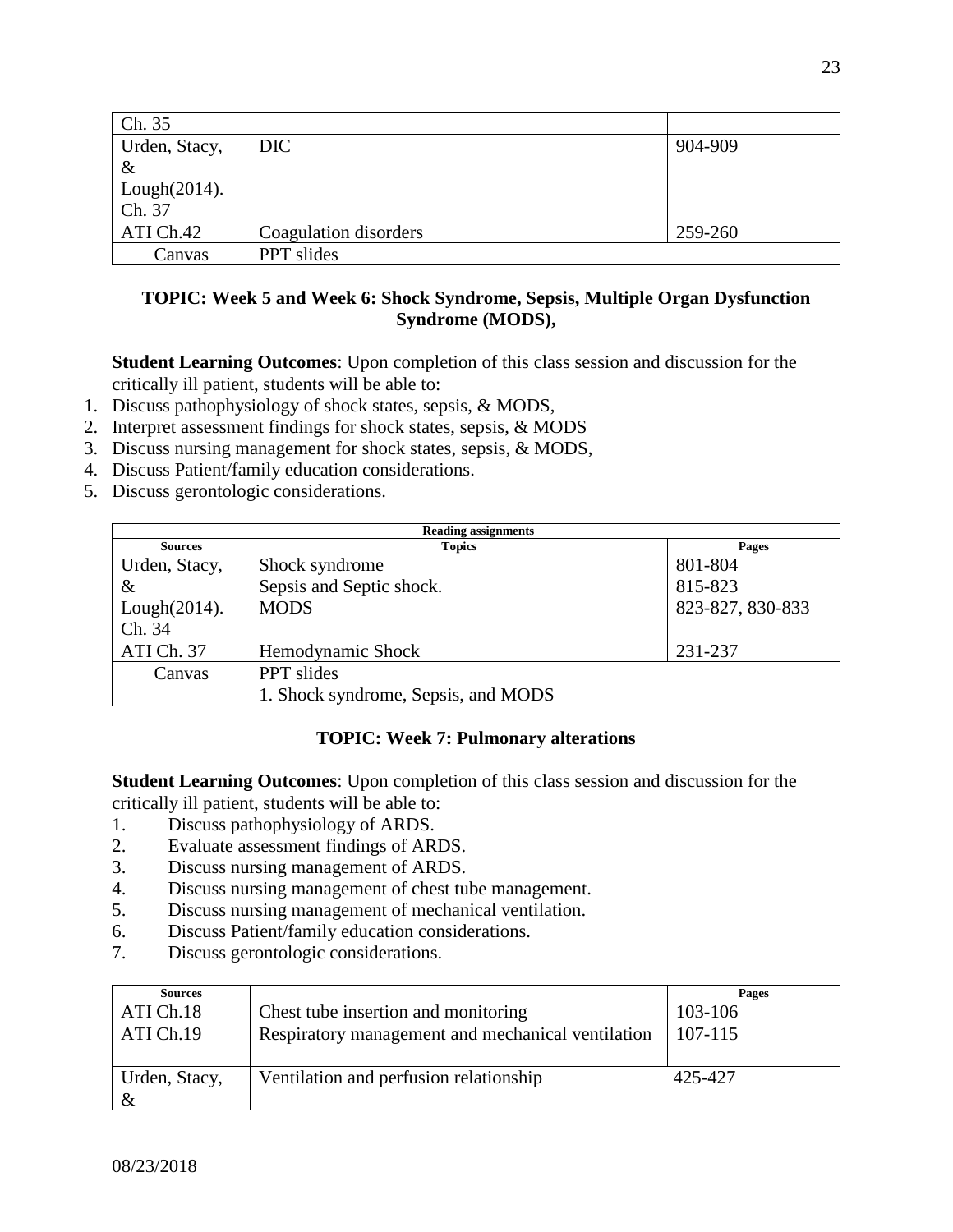| Ch. 35           |                       |         |
|------------------|-----------------------|---------|
| Urden, Stacy,    | DIC                   | 904-909 |
| $\&$             |                       |         |
| Lough $(2014)$ . |                       |         |
| Ch. 37           |                       |         |
| ATI Ch.42        | Coagulation disorders | 259-260 |
| Canvas           | PPT slides            |         |

### **TOPIC: Week 5 and Week 6: Shock Syndrome, Sepsis, Multiple Organ Dysfunction Syndrome (MODS),**

**Student Learning Outcomes**: Upon completion of this class session and discussion for the critically ill patient, students will be able to:

- 1. Discuss pathophysiology of shock states, sepsis, & MODS,
- 2. Interpret assessment findings for shock states, sepsis, & MODS
- 3. Discuss nursing management for shock states, sepsis, & MODS,
- 4. Discuss Patient/family education considerations.
- 5. Discuss gerontologic considerations.

| <b>Reading assignments</b> |                                     |                  |
|----------------------------|-------------------------------------|------------------|
| <b>Sources</b>             | <b>Topics</b>                       | Pages            |
| Urden, Stacy,              | Shock syndrome                      | 801-804          |
| $\&$                       | Sepsis and Septic shock.            | 815-823          |
| Lough $(2014)$ .           | <b>MODS</b>                         | 823-827, 830-833 |
| Ch. 34                     |                                     |                  |
| ATI Ch. 37                 | Hemodynamic Shock                   | 231-237          |
| Canvas                     | <b>PPT</b> slides                   |                  |
|                            | 1. Shock syndrome, Sepsis, and MODS |                  |

# **TOPIC: Week 7: Pulmonary alterations**

**Student Learning Outcomes**: Upon completion of this class session and discussion for the critically ill patient, students will be able to:

- 1. Discuss pathophysiology of ARDS.
- 2. Evaluate assessment findings of ARDS.
- 3. Discuss nursing management of ARDS.
- 4. Discuss nursing management of chest tube management.
- 5. Discuss nursing management of mechanical ventilation.
- 6. Discuss Patient/family education considerations.
- 7. Discuss gerontologic considerations.

| <b>Sources</b>        |                                                   | Pages   |
|-----------------------|---------------------------------------------------|---------|
| ATI Ch.18             | Chest tube insertion and monitoring               | 103-106 |
| ATI Ch.19             | Respiratory management and mechanical ventilation | 107-115 |
| Urden, Stacy,<br>$\&$ | Ventilation and perfusion relationship            | 425-427 |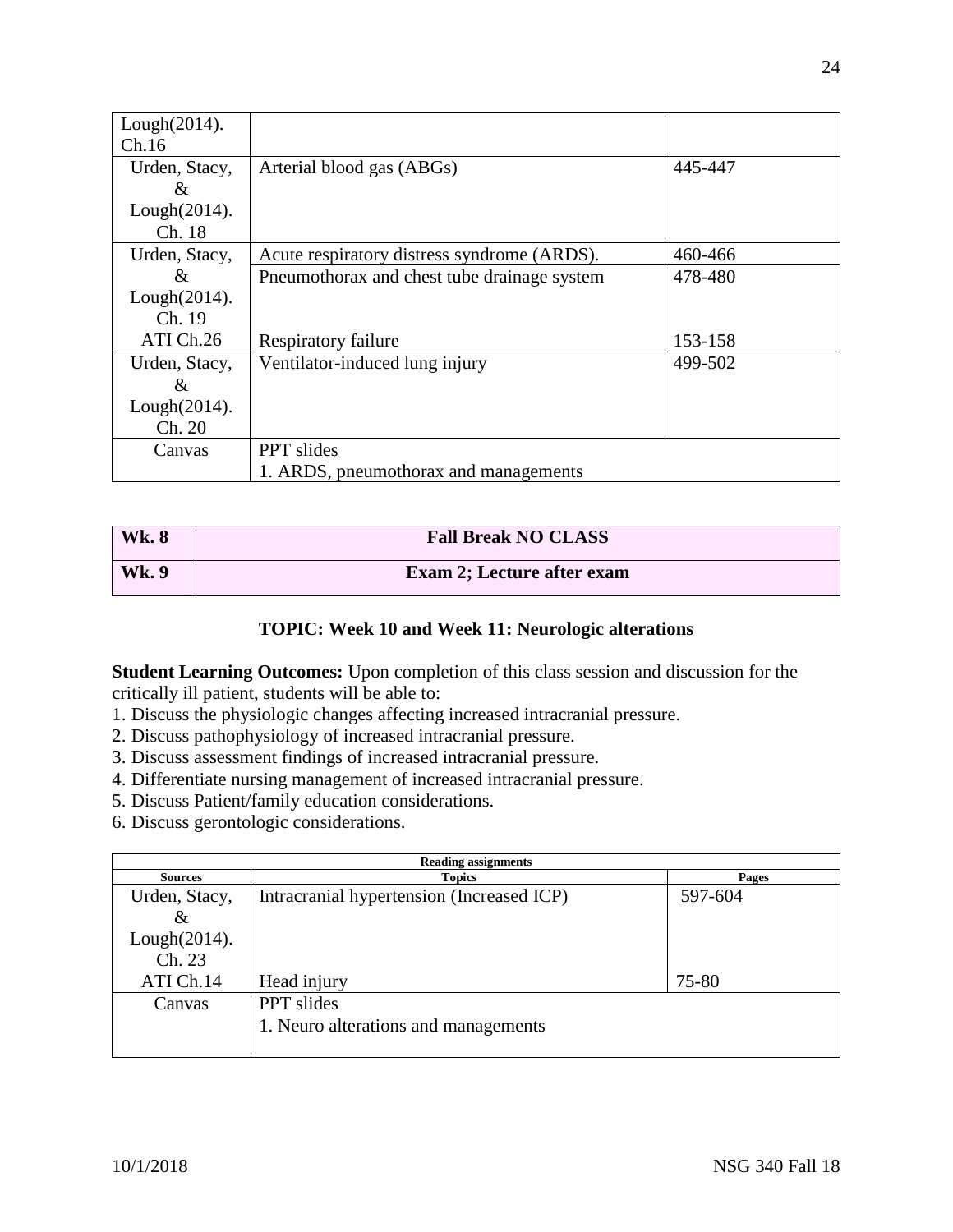| $Lough(2014)$ . |                                             |         |
|-----------------|---------------------------------------------|---------|
| Ch.16           |                                             |         |
| Urden, Stacy,   | Arterial blood gas (ABGs)                   | 445-447 |
| &               |                                             |         |
| $Lough(2014)$ . |                                             |         |
| Ch. 18          |                                             |         |
| Urden, Stacy,   | Acute respiratory distress syndrome (ARDS). | 460-466 |
| &               | Pneumothorax and chest tube drainage system | 478-480 |
| $Lough(2014)$ . |                                             |         |
| Ch. 19          |                                             |         |
| ATI Ch.26       | Respiratory failure                         | 153-158 |
| Urden, Stacy,   | Ventilator-induced lung injury              | 499-502 |
| $\&$            |                                             |         |
| $Lough(2014)$ . |                                             |         |
| Ch. 20          |                                             |         |
| Canvas          | <b>PPT</b> slides                           |         |
|                 | 1. ARDS, pneumothorax and managements       |         |

| <b>Wk. 8</b> | <b>Fall Break NO CLASS</b>        |
|--------------|-----------------------------------|
| Wk. 9        | <b>Exam 2; Lecture after exam</b> |

### **TOPIC: Week 10 and Week 11: Neurologic alterations**

**Student Learning Outcomes:** Upon completion of this class session and discussion for the critically ill patient, students will be able to:

- 1. Discuss the physiologic changes affecting increased intracranial pressure.
- 2. Discuss pathophysiology of increased intracranial pressure.
- 3. Discuss assessment findings of increased intracranial pressure.
- 4. Differentiate nursing management of increased intracranial pressure.
- 5. Discuss Patient/family education considerations.
- 6. Discuss gerontologic considerations.

| <b>Reading assignments</b> |                                           |         |
|----------------------------|-------------------------------------------|---------|
| <b>Sources</b>             | <b>Topics</b>                             | Pages   |
| Urden, Stacy,              | Intracranial hypertension (Increased ICP) | 597-604 |
| $\&$                       |                                           |         |
| $Lough(2014)$ .            |                                           |         |
| Ch. 23                     |                                           |         |
| ATI Ch.14                  | Head injury                               | 75-80   |
| Canvas                     | <b>PPT</b> slides                         |         |
|                            | 1. Neuro alterations and managements      |         |
|                            |                                           |         |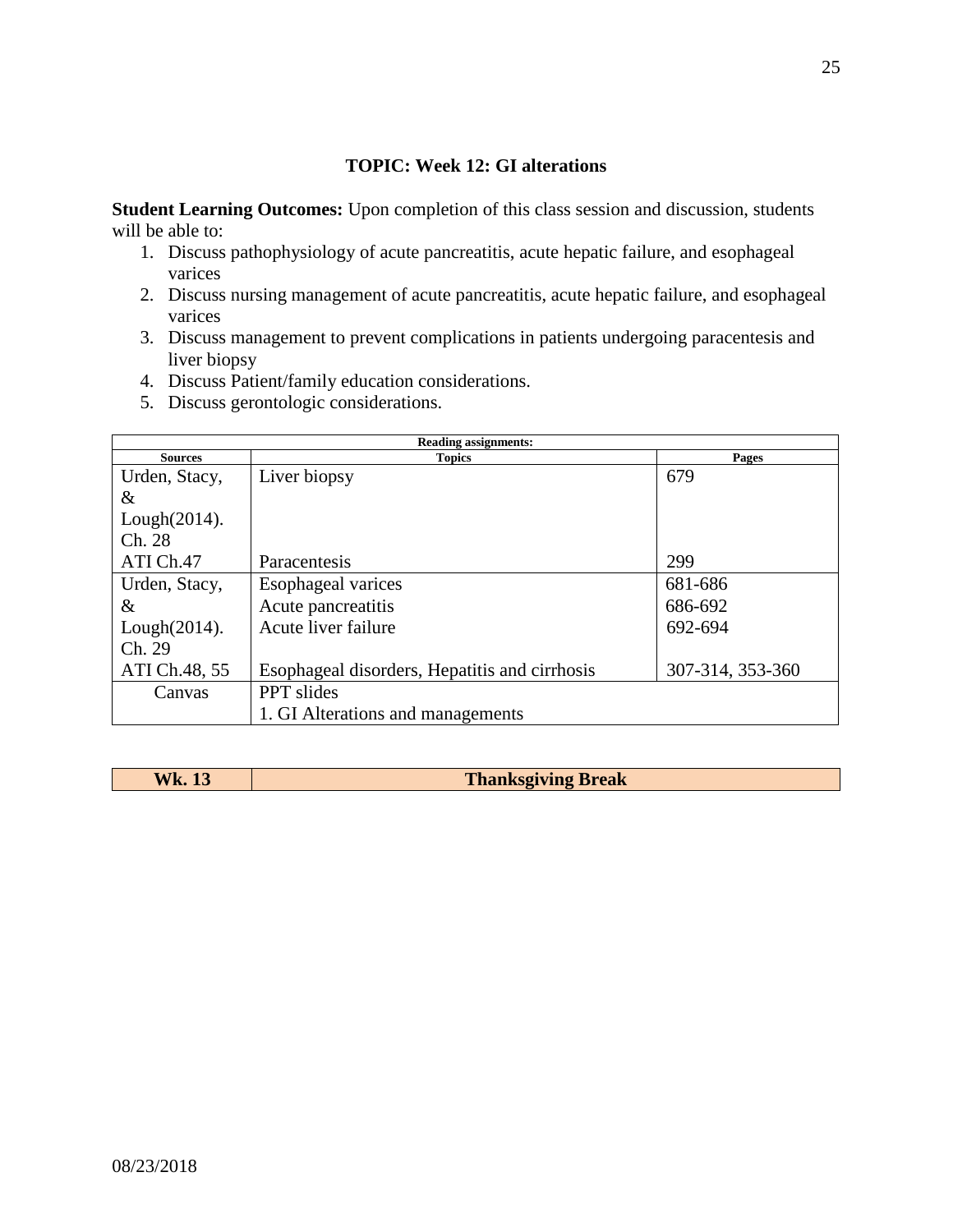# **TOPIC: Week 12: GI alterations**

**Student Learning Outcomes:** Upon completion of this class session and discussion, students will be able to:

- 1. Discuss pathophysiology of acute pancreatitis, acute hepatic failure, and esophageal varices
- 2. Discuss nursing management of acute pancreatitis, acute hepatic failure, and esophageal varices
- 3. Discuss management to prevent complications in patients undergoing paracentesis and liver biopsy
- 4. Discuss Patient/family education considerations.
- 5. Discuss gerontologic considerations.

| <b>Reading assignments:</b> |                                               |                  |
|-----------------------------|-----------------------------------------------|------------------|
| <b>Sources</b>              | <b>Topics</b>                                 | Pages            |
| Urden, Stacy,               | Liver biopsy                                  | 679              |
| &                           |                                               |                  |
| $Lough(2014)$ .             |                                               |                  |
| Ch. 28                      |                                               |                  |
| ATI Ch.47                   | Paracentesis                                  | 299              |
| Urden, Stacy,               | Esophageal varices                            | 681-686          |
| &                           | Acute pancreatitis                            | 686-692          |
| $Lough(2014)$ .             | Acute liver failure                           | 692-694          |
| Ch. 29                      |                                               |                  |
| ATI Ch.48, 55               | Esophageal disorders, Hepatitis and cirrhosis | 307-314, 353-360 |
| Canvas                      | <b>PPT</b> slides                             |                  |
|                             | 1. GI Alterations and managements             |                  |

| <b>Wk. 13</b> | <b>Thanksgiving Break</b> |
|---------------|---------------------------|
|               |                           |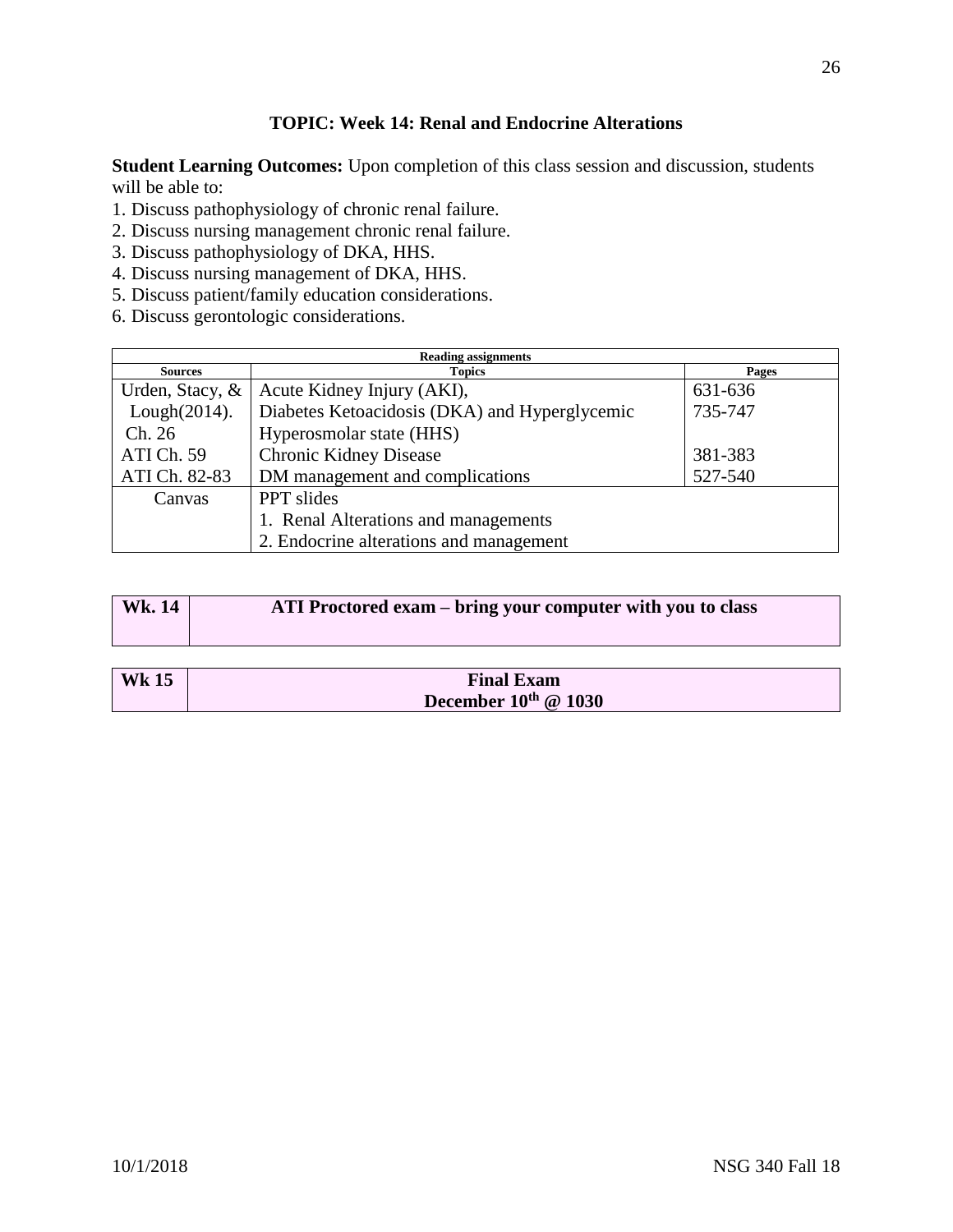# **TOPIC: Week 14: Renal and Endocrine Alterations**

**Student Learning Outcomes:** Upon completion of this class session and discussion, students will be able to:

- 1. Discuss pathophysiology of chronic renal failure.
- 2. Discuss nursing management chronic renal failure.
- 3. Discuss pathophysiology of DKA, HHS.
- 4. Discuss nursing management of DKA, HHS.
- 5. Discuss patient/family education considerations.
- 6. Discuss gerontologic considerations.

| <b>Reading assignments</b> |                                               |         |
|----------------------------|-----------------------------------------------|---------|
| <b>Sources</b>             | <b>Topics</b>                                 | Pages   |
| Urden, Stacy, &            | Acute Kidney Injury (AKI),                    | 631-636 |
| Lough $(2014)$ .           | Diabetes Ketoacidosis (DKA) and Hyperglycemic | 735-747 |
| Ch. 26                     | Hyperosmolar state (HHS)                      |         |
| ATI Ch. 59                 | <b>Chronic Kidney Disease</b>                 | 381-383 |
| ATI Ch. 82-83              | DM management and complications               | 527-540 |
| Canvas                     | PPT slides                                    |         |
|                            | 1. Renal Alterations and managements          |         |
|                            | 2. Endocrine alterations and management       |         |

| <b>Wk.</b> 14 | ATI Proctored exam – bring your computer with you to class |
|---------------|------------------------------------------------------------|
|               |                                                            |

| <b>Wk 15</b> | <b>Final Exam</b>           |
|--------------|-----------------------------|
|              | December $10^{th}$ @ $1030$ |